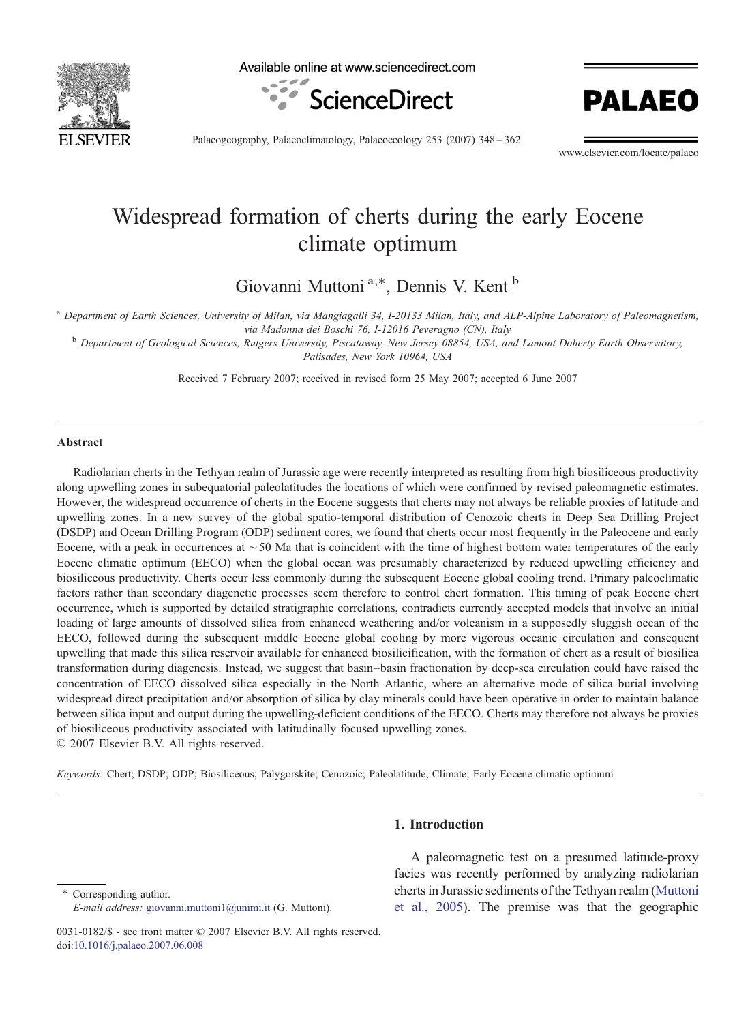

Available online at www.sciencedirect.com





Palaeogeography, Palaeoclimatology, Palaeoecology 253 (2007) 348–362

www.elsevier.com/locate/palaeo

# Widespread formation of cherts during the early Eocene climate optimum

Giovanni Muttoni<sup>a,\*</sup>, Dennis V. Kent<sup>b</sup>

<sup>a</sup> Department of Earth Sciences, University of Milan, via Mangiagalli 34, I-20133 Milan, Italy, and ALP-Alpine Laboratory of Paleomagnetism, via Madonna dei Boschi 76, I-12016 Peveragno (CN), Italy

**b** Department of Geological Sciences, Rutgers University, Piscataway, New Jersey 08854, USA, and Lamont-Doherty Earth Observatory, Palisades, New York 10964, USA

Received 7 February 2007; received in revised form 25 May 2007; accepted 6 June 2007

#### Abstract

Radiolarian cherts in the Tethyan realm of Jurassic age were recently interpreted as resulting from high biosiliceous productivity along upwelling zones in subequatorial paleolatitudes the locations of which were confirmed by revised paleomagnetic estimates. However, the widespread occurrence of cherts in the Eocene suggests that cherts may not always be reliable proxies of latitude and upwelling zones. In a new survey of the global spatio-temporal distribution of Cenozoic cherts in Deep Sea Drilling Project (DSDP) and Ocean Drilling Program (ODP) sediment cores, we found that cherts occur most frequently in the Paleocene and early Eocene, with a peak in occurrences at ∼50 Ma that is coincident with the time of highest bottom water temperatures of the early Eocene climatic optimum (EECO) when the global ocean was presumably characterized by reduced upwelling efficiency and biosiliceous productivity. Cherts occur less commonly during the subsequent Eocene global cooling trend. Primary paleoclimatic factors rather than secondary diagenetic processes seem therefore to control chert formation. This timing of peak Eocene chert occurrence, which is supported by detailed stratigraphic correlations, contradicts currently accepted models that involve an initial loading of large amounts of dissolved silica from enhanced weathering and/or volcanism in a supposedly sluggish ocean of the EECO, followed during the subsequent middle Eocene global cooling by more vigorous oceanic circulation and consequent upwelling that made this silica reservoir available for enhanced biosilicification, with the formation of chert as a result of biosilica transformation during diagenesis. Instead, we suggest that basin–basin fractionation by deep-sea circulation could have raised the concentration of EECO dissolved silica especially in the North Atlantic, where an alternative mode of silica burial involving widespread direct precipitation and/or absorption of silica by clay minerals could have been operative in order to maintain balance between silica input and output during the upwelling-deficient conditions of the EECO. Cherts may therefore not always be proxies of biosiliceous productivity associated with latitudinally focused upwelling zones.

© 2007 Elsevier B.V. All rights reserved.

Keywords: Chert; DSDP; ODP; Biosiliceous; Palygorskite; Cenozoic; Paleolatitude; Climate; Early Eocene climatic optimum

Corresponding author. E-mail address: [giovanni.muttoni1@unimi.it](mailto:giovanni.muttoni1@unimi.it) (G. Muttoni).

## 1. Introduction

A paleomagnetic test on a presumed latitude-proxy facies was recently performed by analyzing radiolarian cherts in Jurassic sediments of the Tethyan realm [\(Muttoni](#page-13-0) [et al., 2005](#page-13-0)). The premise was that the geographic

<sup>0031-0182/\$ -</sup> see front matter © 2007 Elsevier B.V. All rights reserved. doi[:10.1016/j.palaeo.2007.06.008](http://dx.doi.org/10.1016/j.palaeo.2007.06.008)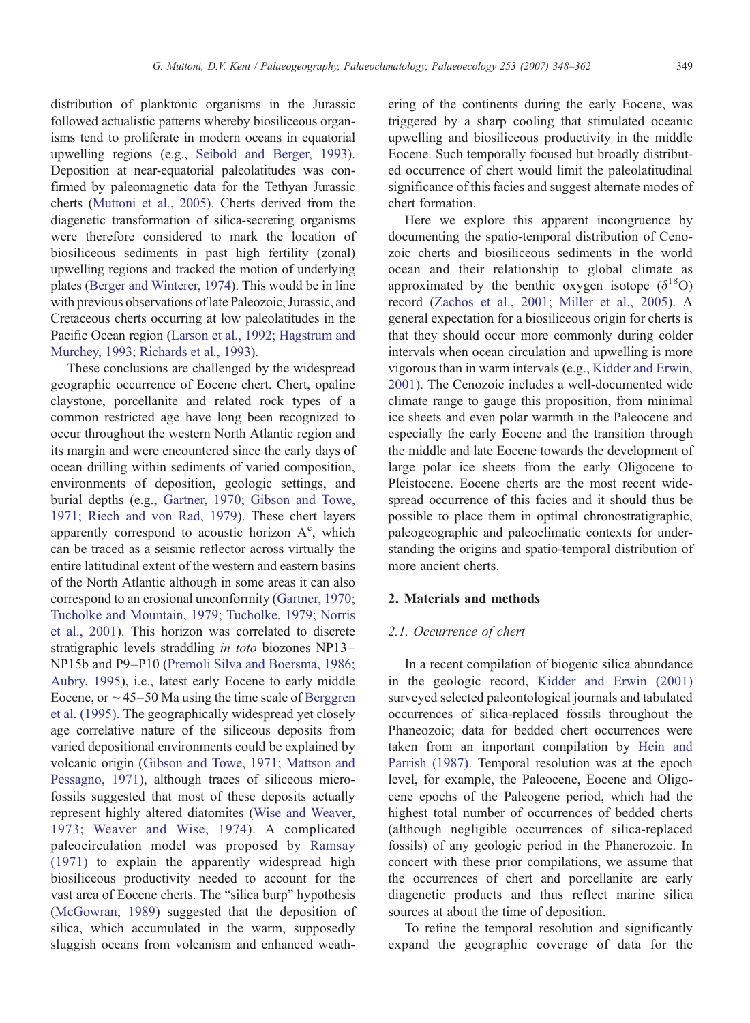distribution of planktonic organisms in the Jurassic followed actualistic patterns whereby biosiliceous organisms tend to proliferate in modern oceans in equatorial upwelling regions (e.g., [Seibold and Berger, 1993](#page-14-0)). Deposition at near-equatorial paleolatitudes was confirmed by paleomagnetic data for the Tethyan Jurassic cherts [\(Muttoni et al., 2005](#page-13-0)). Cherts derived from the diagenetic transformation of silica-secreting organisms were therefore considered to mark the location of biosiliceous sediments in past high fertility (zonal) upwelling regions and tracked the motion of underlying plates ([Berger and Winterer, 1974\)](#page-13-0). This would be in line with previous observations of late Paleozoic, Jurassic, and Cretaceous cherts occurring at low paleolatitudes in the Pacific Ocean region [\(Larson et al., 1992; Hagstrum and](#page-13-0) [Murchey, 1993; Richards et al., 1993](#page-13-0)).

These conclusions are challenged by the widespread geographic occurrence of Eocene chert. Chert, opaline claystone, porcellanite and related rock types of a common restricted age have long been recognized to occur throughout the western North Atlantic region and its margin and were encountered since the early days of ocean drilling within sediments of varied composition, environments of deposition, geologic settings, and burial depths (e.g., [Gartner, 1970; Gibson and Towe,](#page-13-0) [1971; Riech and von Rad, 1979](#page-13-0)). These chert layers apparently correspond to acoustic horizon  $A<sup>c</sup>$ , which can be traced as a seismic reflector across virtually the entire latitudinal extent of the western and eastern basins of the North Atlantic although in some areas it can also correspond to an erosional unconformity [\(Gartner, 1970;](#page-13-0) [Tucholke and Mountain, 1979; Tucholke, 1979; Norris](#page-13-0) [et al., 2001\)](#page-13-0). This horizon was correlated to discrete stratigraphic levels straddling in toto biozones NP13– NP15b and P9–P10 ([Premoli Silva and Boersma, 1986;](#page-14-0) [Aubry, 1995\)](#page-14-0), i.e., latest early Eocene to early middle Eocene, or ∼45–50 Ma using the time scale of [Berggren](#page-13-0) [et al. \(1995\).](#page-13-0) The geographically widespread yet closely age correlative nature of the siliceous deposits from varied depositional environments could be explained by volcanic origin ([Gibson and Towe, 1971; Mattson and](#page-13-0) [Pessagno, 1971](#page-13-0)), although traces of siliceous microfossils suggested that most of these deposits actually represent highly altered diatomites [\(Wise and Weaver,](#page-14-0) [1973; Weaver and Wise, 1974\)](#page-14-0). A complicated paleocirculation model was proposed by [Ramsay](#page-14-0) [\(1971\)](#page-14-0) to explain the apparently widespread high biosiliceous productivity needed to account for the vast area of Eocene cherts. The "silica burp" hypothesis [\(McGowran, 1989\)](#page-13-0) suggested that the deposition of silica, which accumulated in the warm, supposedly sluggish oceans from volcanism and enhanced weathering of the continents during the early Eocene, was triggered by a sharp cooling that stimulated oceanic upwelling and biosiliceous productivity in the middle Eocene. Such temporally focused but broadly distributed occurrence of chert would limit the paleolatitudinal significance of this facies and suggest alternate modes of chert formation.

Here we explore this apparent incongruence by documenting the spatio-temporal distribution of Cenozoic cherts and biosiliceous sediments in the world ocean and their relationship to global climate as approximated by the benthic oxygen isotope  $(\delta^{18}O)$ record [\(Zachos et al., 2001; Miller et al., 2005](#page-14-0)). A general expectation for a biosiliceous origin for cherts is that they should occur more commonly during colder intervals when ocean circulation and upwelling is more vigorous than in warm intervals (e.g., [Kidder and Erwin,](#page-13-0) [2001\)](#page-13-0). The Cenozoic includes a well-documented wide climate range to gauge this proposition, from minimal ice sheets and even polar warmth in the Paleocene and especially the early Eocene and the transition through the middle and late Eocene towards the development of large polar ice sheets from the early Oligocene to Pleistocene. Eocene cherts are the most recent widespread occurrence of this facies and it should thus be possible to place them in optimal chronostratigraphic, paleogeographic and paleoclimatic contexts for understanding the origins and spatio-temporal distribution of more ancient cherts.

## 2. Materials and methods

#### 2.1. Occurrence of chert

In a recent compilation of biogenic silica abundance in the geologic record, [Kidder and Erwin \(2001\)](#page-13-0) surveyed selected paleontological journals and tabulated occurrences of silica-replaced fossils throughout the Phaneozoic; data for bedded chert occurrences were taken from an important compilation by [Hein and](#page-13-0) [Parrish \(1987\)](#page-13-0). Temporal resolution was at the epoch level, for example, the Paleocene, Eocene and Oligocene epochs of the Paleogene period, which had the highest total number of occurrences of bedded cherts (although negligible occurrences of silica-replaced fossils) of any geologic period in the Phanerozoic. In concert with these prior compilations, we assume that the occurrences of chert and porcellanite are early diagenetic products and thus reflect marine silica sources at about the time of deposition.

To refine the temporal resolution and significantly expand the geographic coverage of data for the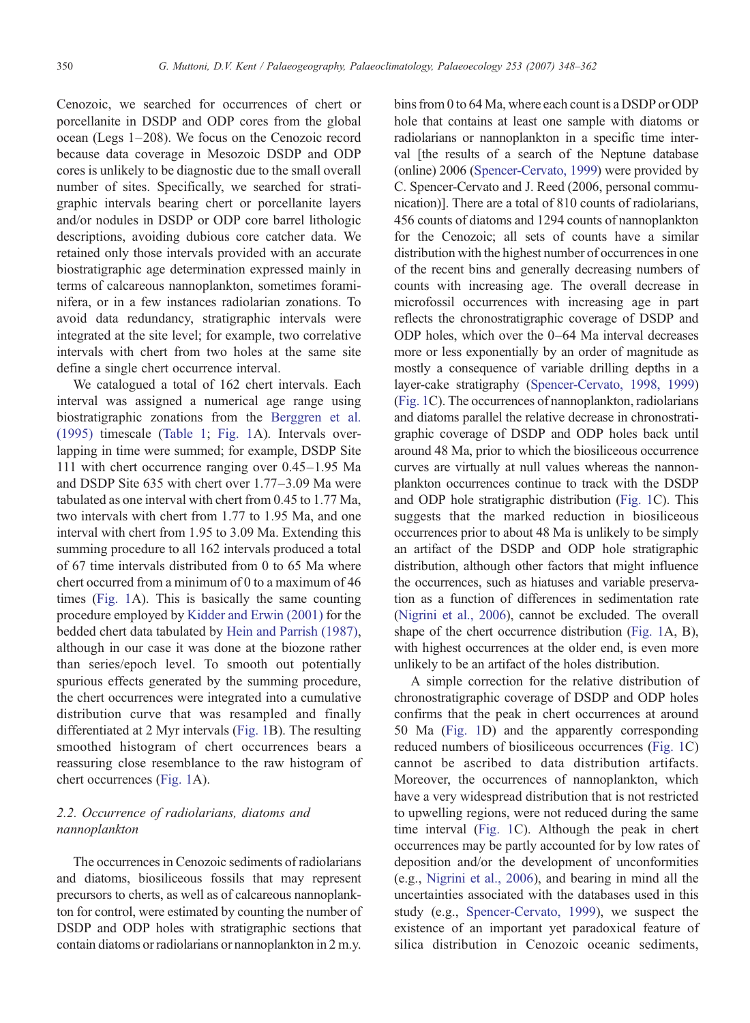Cenozoic, we searched for occurrences of chert or porcellanite in DSDP and ODP cores from the global ocean (Legs 1–208). We focus on the Cenozoic record because data coverage in Mesozoic DSDP and ODP cores is unlikely to be diagnostic due to the small overall number of sites. Specifically, we searched for stratigraphic intervals bearing chert or porcellanite layers and/or nodules in DSDP or ODP core barrel lithologic descriptions, avoiding dubious core catcher data. We retained only those intervals provided with an accurate biostratigraphic age determination expressed mainly in terms of calcareous nannoplankton, sometimes foraminifera, or in a few instances radiolarian zonations. To avoid data redundancy, stratigraphic intervals were integrated at the site level; for example, two correlative intervals with chert from two holes at the same site define a single chert occurrence interval.

We catalogued a total of 162 chert intervals. Each interval was assigned a numerical age range using biostratigraphic zonations from the [Berggren et al.](#page-13-0) [\(1995\)](#page-13-0) timescale [\(Table 1](#page-3-0); [Fig. 1A](#page-6-0)). Intervals overlapping in time were summed; for example, DSDP Site 111 with chert occurrence ranging over 0.45–1.95 Ma and DSDP Site 635 with chert over 1.77–3.09 Ma were tabulated as one interval with chert from 0.45 to 1.77 Ma, two intervals with chert from 1.77 to 1.95 Ma, and one interval with chert from 1.95 to 3.09 Ma. Extending this summing procedure to all 162 intervals produced a total of 67 time intervals distributed from 0 to 65 Ma where chert occurred from a minimum of 0 to a maximum of 46 times [\(Fig. 1A](#page-6-0)). This is basically the same counting procedure employed by [Kidder and Erwin \(2001\)](#page-13-0) for the bedded chert data tabulated by [Hein and Parrish \(1987\),](#page-13-0) although in our case it was done at the biozone rather than series/epoch level. To smooth out potentially spurious effects generated by the summing procedure, the chert occurrences were integrated into a cumulative distribution curve that was resampled and finally differentiated at 2 Myr intervals [\(Fig. 1](#page-6-0)B). The resulting smoothed histogram of chert occurrences bears a reassuring close resemblance to the raw histogram of chert occurrences ([Fig. 1A](#page-6-0)).

## 2.2. Occurrence of radiolarians, diatoms and nannoplankton

The occurrences in Cenozoic sediments of radiolarians and diatoms, biosiliceous fossils that may represent precursors to cherts, as well as of calcareous nannoplankton for control, were estimated by counting the number of DSDP and ODP holes with stratigraphic sections that contain diatoms or radiolarians or nannoplankton in 2 m.y.

bins from 0 to 64 Ma, where each count is a DSDP or ODP hole that contains at least one sample with diatoms or radiolarians or nannoplankton in a specific time interval [the results of a search of the Neptune database (online) 2006 [\(Spencer-Cervato, 1999\)](#page-14-0) were provided by C. Spencer-Cervato and J. Reed (2006, personal communication)]. There are a total of 810 counts of radiolarians, 456 counts of diatoms and 1294 counts of nannoplankton for the Cenozoic; all sets of counts have a similar distribution with the highest number of occurrences in one of the recent bins and generally decreasing numbers of counts with increasing age. The overall decrease in microfossil occurrences with increasing age in part reflects the chronostratigraphic coverage of DSDP and ODP holes, which over the 0–64 Ma interval decreases more or less exponentially by an order of magnitude as mostly a consequence of variable drilling depths in a layer-cake stratigraphy [\(Spencer-Cervato, 1998, 1999](#page-14-0)) [\(Fig. 1](#page-6-0)C). The occurrences of nannoplankton, radiolarians and diatoms parallel the relative decrease in chronostratigraphic coverage of DSDP and ODP holes back until around 48 Ma, prior to which the biosiliceous occurrence curves are virtually at null values whereas the nannonplankton occurrences continue to track with the DSDP and ODP hole stratigraphic distribution [\(Fig. 1](#page-6-0)C). This suggests that the marked reduction in biosiliceous occurrences prior to about 48 Ma is unlikely to be simply an artifact of the DSDP and ODP hole stratigraphic distribution, although other factors that might influence the occurrences, such as hiatuses and variable preservation as a function of differences in sedimentation rate [\(Nigrini et al., 2006](#page-13-0)), cannot be excluded. The overall shape of the chert occurrence distribution [\(Fig. 1](#page-6-0)A, B), with highest occurrences at the older end, is even more unlikely to be an artifact of the holes distribution.

A simple correction for the relative distribution of chronostratigraphic coverage of DSDP and ODP holes confirms that the peak in chert occurrences at around 50 Ma ([Fig. 1](#page-6-0)D) and the apparently corresponding reduced numbers of biosiliceous occurrences ([Fig. 1C](#page-6-0)) cannot be ascribed to data distribution artifacts. Moreover, the occurrences of nannoplankton, which have a very widespread distribution that is not restricted to upwelling regions, were not reduced during the same time interval [\(Fig. 1](#page-6-0)C). Although the peak in chert occurrences may be partly accounted for by low rates of deposition and/or the development of unconformities (e.g., [Nigrini et al., 2006](#page-13-0)), and bearing in mind all the uncertainties associated with the databases used in this study (e.g., [Spencer-Cervato, 1999\)](#page-14-0), we suspect the existence of an important yet paradoxical feature of silica distribution in Cenozoic oceanic sediments,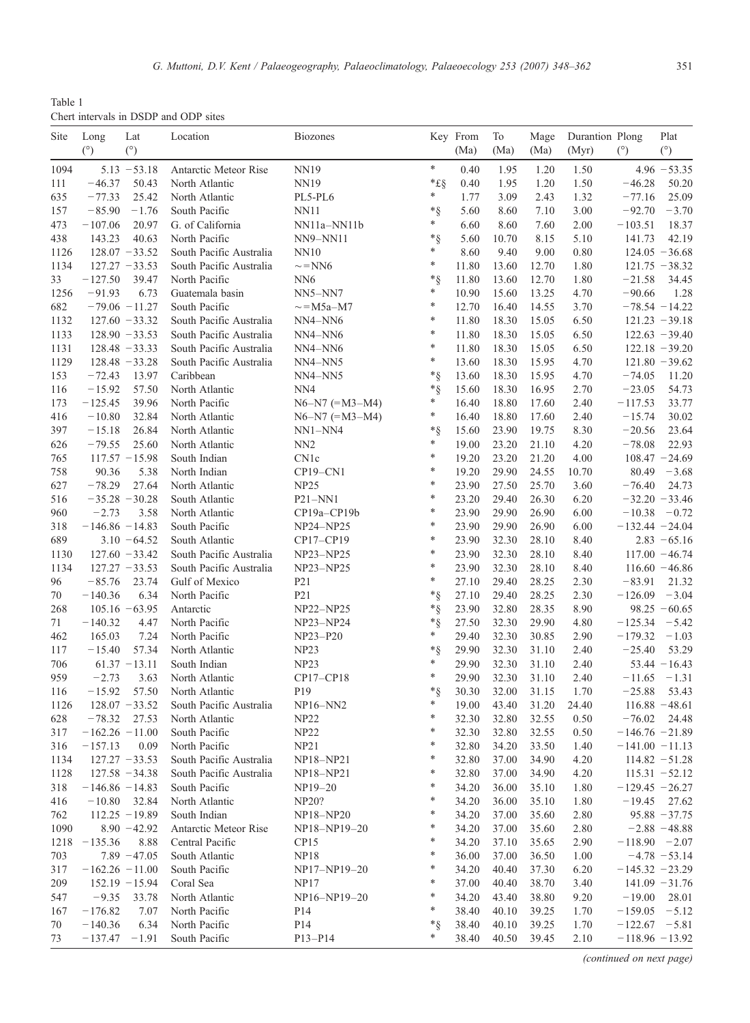<span id="page-3-0"></span>Table 1 Chert intervals in DSDP and ODP sites

| Site        | Long                                | Lat                       | Location                                 | <b>Biozones</b>         |                    | Key From       | To             | Mage           | Durantion Plong |                                       | Plat                      |
|-------------|-------------------------------------|---------------------------|------------------------------------------|-------------------------|--------------------|----------------|----------------|----------------|-----------------|---------------------------------------|---------------------------|
|             | (°)                                 | (°)                       |                                          |                         |                    | (Ma)           | (Ma)           | (Ma)           | (Myr)           | (°)                                   | (°)                       |
| 1094        |                                     | $5.13 - 53.18$            | Antarctic Meteor Rise                    | NN19                    | $\ast$             | 0.40           | 1.95           | 1.20           | 1.50            |                                       | $4.96 - 53.35$            |
| 111         | $-46.37$                            | 50.43                     | North Atlantic                           | NN19                    | $*$ £§             | 0.40           | 1.95           | 1.20           | 1.50            | $-46.28$                              | 50.20                     |
| 635         | $-77.33$                            | 25.42                     | North Atlantic                           | PL5-PL6                 | *                  | 1.77           | 3.09           | 2.43           | 1.32            | $-77.16$                              | 25.09                     |
| 157         | $-85.90$                            | $-1.76$                   | South Pacific                            | <b>NN11</b>             | *§<br>*            | 5.60           | 8.60           | 7.10           | 3.00            | $-92.70$                              | $-3.70$                   |
| 473         | $-107.06$                           | 20.97                     | G. of California                         | NN11a-NN11b             |                    | 6.60           | 8.60           | 7.60           | 2.00            | $-103.51$                             | 18.37                     |
| 438<br>1126 | 143.23                              | 40.63<br>$128.07 - 33.52$ | North Pacific<br>South Pacific Australia | <b>NN9-NN11</b><br>NN10 | * §<br>*           | 5.60<br>8.60   | 10.70<br>9.40  | 8.15<br>9.00   | 5.10<br>0.80    | 141.73                                | 42.19<br>$124.05 - 36.68$ |
| 1134        |                                     | $127.27 - 33.53$          | South Pacific Australia                  | $\sim$ = NN6            | *                  | 11.80          | 13.60          | 12.70          | 1.80            |                                       | $121.75 - 38.32$          |
| 33          | $-127.50$                           | 39.47                     | North Pacific                            | NN <sub>6</sub>         | $*_{\hat{\aleph}}$ | 11.80          | 13.60          | 12.70          | 1.80            | $-21.58$                              | 34.45                     |
| 1256        | $-91.93$                            | 6.73                      | Guatemala basin                          | NN5-NN7                 | *                  | 10.90          | 15.60          | 13.25          | 4.70            | $-90.66$                              | 1.28                      |
| 682         |                                     | $-79.06 - 11.27$          | South Pacific                            | $\sim$ = M5a-M7         | *                  | 12.70          | 16.40          | 14.55          | 3.70            |                                       | $-78.54 - 14.22$          |
| 1132        |                                     | $127.60 - 33.32$          | South Pacific Australia                  | NN4-NN6                 | *                  | 11.80          | 18.30          | 15.05          | 6.50            |                                       | $121.23 - 39.18$          |
| 1133        |                                     | $128.90 - 33.53$          | South Pacific Australia                  | NN4-NN6                 | *                  | 11.80          | 18.30          | 15.05          | 6.50            |                                       | $122.63 - 39.40$          |
| 1131        |                                     | $128.48 - 33.33$          | South Pacific Australia                  | NN4-NN6                 | *                  | 11.80          | 18.30          | 15.05          | 6.50            |                                       | $122.18 - 39.20$          |
| 1129        |                                     | $128.48 - 33.28$          | South Pacific Australia                  | NN4-NN5                 | *                  | 13.60          | 18.30          | 15.95          | 4.70            |                                       | $121.80 - 39.62$          |
| 153         | $-72.43$                            | 13.97                     | Caribbean                                | NN4-NN5                 | $*_{\S}$           | 13.60          | 18.30          | 15.95          | 4.70            | $-74.05$                              | 11.20                     |
| 116         | $-15.92$                            | 57.50                     | North Atlantic                           | NN <sub>4</sub>         | $*_{\S}$           | 15.60          | 18.30          | 16.95          | 2.70            | $-23.05$                              | 54.73                     |
| 173         | $-125.45$                           | 39.96                     | North Pacific                            | $N6-N7$ (= $M3-M4$ )    | *                  | 16.40          | 18.80          | 17.60          | 2.40            | $-117.53$                             | 33.77                     |
| 416         | $-10.80$                            | 32.84                     | North Atlantic                           | $N6-N7$ (= $M3-M4$ )    | *                  | 16.40          | 18.80          | 17.60          | 2.40            | $-15.74$                              | 30.02                     |
| 397         | $-15.18$                            | 26.84                     | North Atlantic                           | $NN1-NN4$               | *§                 | 15.60          | 23.90          | 19.75          | 8.30            | $-20.56$                              | 23.64                     |
| 626         | $-79.55$                            | 25.60                     | North Atlantic                           | NN <sub>2</sub>         | *<br>*             | 19.00          | 23.20          | 21.10          | 4.20            | $-78.08$                              | 22.93                     |
| 765         |                                     | $117.57 - 15.98$          | South Indian                             | CN1c                    | *                  | 19.20          | 23.20          | 21.20          | 4.00            |                                       | $108.47 - 24.69$          |
| 758<br>627  | 90.36<br>$-78.29$                   | 5.38<br>27.64             | North Indian<br>North Atlantic           | $CP19-CN1$<br>NP25      | *                  | 19.20<br>23.90 | 29.90<br>27.50 | 24.55<br>25.70 | 10.70<br>3.60   | 80.49<br>$-76.40$                     | $-3.68$<br>24.73          |
| 516         |                                     | $-35.28 - 30.28$          | South Atlantic                           | $P21-NN1$               | *                  | 23.20          | 29.40          | 26.30          | 6.20            |                                       | $-32.20 - 33.46$          |
| 960         | $-2.73$                             | 3.58                      | North Atlantic                           | CP19a-CP19b             | $\ast$             | 23.90          | 29.90          | 26.90          | 6.00            | $-10.38$                              | $-0.72$                   |
| 318         | $-146.86 - 14.83$                   |                           | South Pacific                            | $NP24-NP25$             | *                  | 23.90          | 29.90          | 26.90          | 6.00            | $-132.44 - 24.04$                     |                           |
| 689         |                                     | $3.10 - 64.52$            | South Atlantic                           | CP17-CP19               | *                  | 23.90          | 32.30          | 28.10          | 8.40            |                                       | $2.83 - 65.16$            |
| 1130        |                                     | $127.60 - 33.42$          | South Pacific Australia                  | $NP23-NP25$             | *                  | 23.90          | 32.30          | 28.10          | 8.40            |                                       | $117.00 - 46.74$          |
| 1134        |                                     | $127.27 - 33.53$          | South Pacific Australia                  | NP23-NP25               | *                  | 23.90          | 32.30          | 28.10          | 8.40            |                                       | $116.60 - 46.86$          |
| 96          | $-85.76$                            | 23.74                     | Gulf of Mexico                           | P <sub>2</sub> 1        | *                  | 27.10          | 29.40          | 28.25          | 2.30            | $-83.91$                              | 21.32                     |
| 70          | $-140.36$                           | 6.34                      | North Pacific                            | P <sub>2</sub> 1        | $*_{\S}$           | 27.10          | 29.40          | 28.25          | 2.30            | $-126.09$                             | $-3.04$                   |
| 268         |                                     | $105.16 - 63.95$          | Antarctic                                | NP22-NP25               | $^*$ §             | 23.90          | 32.80          | 28.35          | 8.90            |                                       | $98.25 - 60.65$           |
| 71          | $-140.32$                           | 4.47                      | North Pacific                            | NP23-NP24               | *§                 | 27.50          | 32.30          | 29.90          | 4.80            | $-125.34$                             | $-5.42$                   |
| 462         | 165.03                              | 7.24                      | North Pacific                            | NP23-P20                | *                  | 29.40          | 32.30          | 30.85          | 2.90            | $-179.32$                             | $-1.03$                   |
| 117         | $-15.40$                            | 57.34                     | North Atlantic                           | NP <sub>23</sub>        | $*_{\S}$           | 29.90          | 32.30          | 31.10          | 2.40            | $-25.40$                              | 53.29                     |
| 706         |                                     | $61.37 - 13.11$           | South Indian                             | NP23                    | *                  | 29.90          | 32.30          | 31.10          | 2.40            |                                       | $53.44 - 16.43$           |
| 959         | $-2.73$                             | 3.63                      | North Atlantic                           | CP17-CP18               | *                  | 29.90          | 32.30          | 31.10          | 2.40            | $-11.65$                              | $-1.31$                   |
| 116         | $-15.92$                            | 57.50                     | North Atlantic                           | P <sub>19</sub>         | $*_{\hat{\aleph}}$ | 30.30          | 32.00          | 31.15          | 1.70            | $-25.88$                              | 53.43                     |
| 1126        |                                     | $128.07 - 33.52$          | South Pacific Australia                  | $NP16-NN2$              | *<br>$\ast$        | 19.00          | 43.40          | 31.20          | 24.40           |                                       | $116.88 - 48.61$          |
| 628         | $-78.32$                            | 27.53                     | North Atlantic                           | NP22                    | *                  | 32.30          | 32.80          | 32.55          | 0.50            | $-76.02$                              | 24.48                     |
| 317         | $-162.26 - 11.00$<br>$-157.13$ 0.09 |                           | South Pacific<br>North Pacific           | <b>NP22</b>             |                    | 32.30<br>32.80 | 32.80<br>34.20 | 32.55<br>33.50 | 0.50            | $-146.76 - 21.89$<br>$-141.00 -11.13$ |                           |
| 316<br>1134 |                                     | $127.27 - 33.53$          | South Pacific Australia                  | NP21<br>NP18-NP21       | $\ast$             |                | 37.00          | 34.90          | 1.40<br>4.20    |                                       | $114.82 - 51.28$          |
| 1128        |                                     | $127.58 - 34.38$          | South Pacific Australia                  | NP18-NP21               | ∗                  | 32.80<br>32.80 | 37.00          | 34.90          | 4.20            |                                       | $115.31 - 52.12$          |
| 318         | $-146.86 - 14.83$                   |                           | South Pacific                            | NP19-20                 | ∗                  | 34.20          | 36.00          | 35.10          | 1.80            | $-129.45 - 26.27$                     |                           |
| 416         |                                     | $-10.80$ 32.84            | North Atlantic                           | NP20?                   | *                  | 34.20          | 36.00          | 35.10          | 1.80            |                                       | $-19.45$ 27.62            |
| 762         |                                     | $112.25 - 19.89$          | South Indian                             | <b>NP18-NP20</b>        | ∗                  | 34.20          | 37.00          | 35.60          | 2.80            |                                       | $95.88 - 37.75$           |
| 1090        |                                     | $8.90 - 42.92$            | Antarctic Meteor Rise                    | NP18-NP19-20            | *                  | 34.20          | 37.00          | 35.60          | 2.80            |                                       | $-2.88 - 48.88$           |
| 1218        | $-135.36$                           | 8.88                      | Central Pacific                          | CP15                    | ∗                  | 34.20          | 37.10          | 35.65          | 2.90            | $-118.90 -2.07$                       |                           |
| 703         |                                     | $7.89 - 47.05$            | South Atlantic                           | <b>NP18</b>             | ∗                  | 36.00          | 37.00          | 36.50          | 1.00            |                                       | $-4.78 - 53.14$           |
| 317         | $-162.26 -11.00$                    |                           | South Pacific                            | NP17-NP19-20            | ∗                  | 34.20          | 40.40          | 37.30          | 6.20            | $-145.32 -23.29$                      |                           |
| 209         |                                     | $152.19 - 15.94$          | Coral Sea                                | NP17                    | ∗                  | 37.00          | 40.40          | 38.70          | 3.40            |                                       | $141.09 - 31.76$          |
| 547         | $-9.35$                             | 33.78                     | North Atlantic                           | NP16-NP19-20            | ∗                  | 34.20          | 43.40          | 38.80          | 9.20            | $-19.00$                              | 28.01                     |
| 167         | $-176.82$                           | 7.07                      | North Pacific                            | P <sub>14</sub>         | *                  | 38.40          | 40.10          | 39.25          | 1.70            | $-159.05 -5.12$                       |                           |
| 70          | $-140.36$                           | 6.34                      | North Pacific                            | P <sub>14</sub>         | $*_{\hat{\aleph}}$ | 38.40          | 40.10          | 39.25          | 1.70            | $-122.67 - 5.81$                      |                           |
| 73          | $-137.47 -1.91$                     |                           | South Pacific                            | P13-P14                 | *                  | 38.40          | 40.50          | 39.45          | 2.10            | $-118.96 - 13.92$                     |                           |

(continued on next page)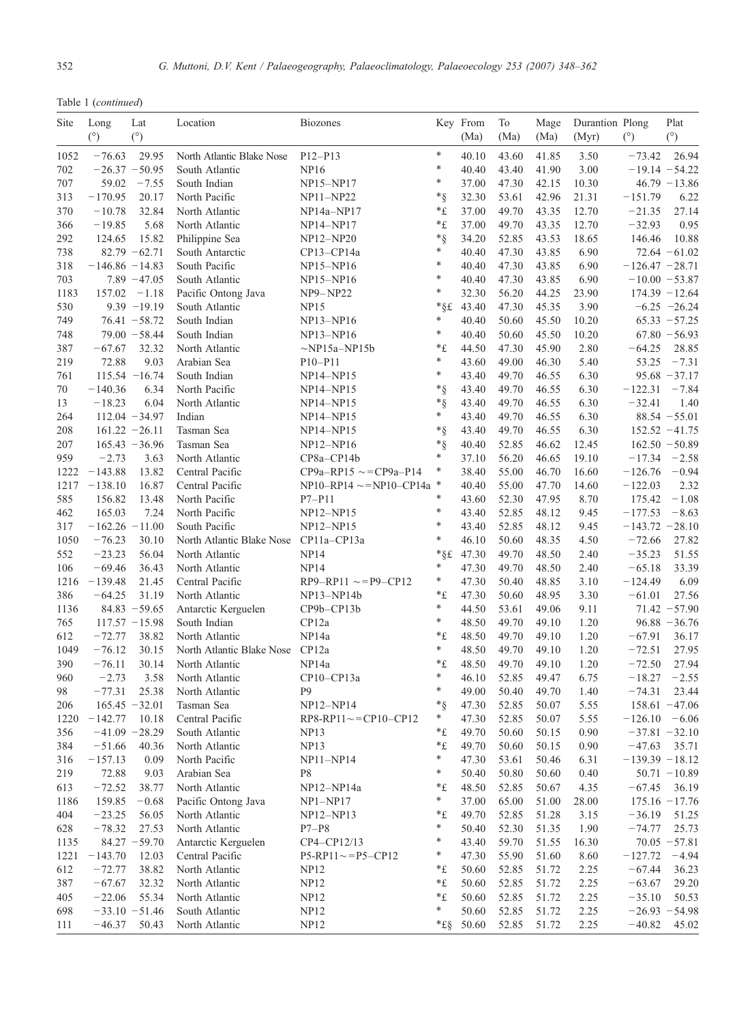|  |  | Table 1 (continued) |
|--|--|---------------------|
|--|--|---------------------|

| Site        | Long                 | Lat              | Location                         | <b>Biozones</b>                   |                    | Key From       | To             | Mage           | Durantion Plong |                        | Plat             |
|-------------|----------------------|------------------|----------------------------------|-----------------------------------|--------------------|----------------|----------------|----------------|-----------------|------------------------|------------------|
|             | (°)                  | (°)              |                                  |                                   |                    | (Ma)           | (Ma)           | (Ma)           | (Myr)           | $(^\circ)$             | (°)              |
| 1052        | $-76.63$             | 29.95            | North Atlantic Blake Nose        | $P12 - P13$                       | $\ast$             | 40.10          | 43.60          | 41.85          | 3.50            | $-73.42$               | 26.94            |
| 702         |                      | $-26.37 - 50.95$ | South Atlantic                   | <b>NP16</b>                       | *                  | 40.40          | 43.40          | 41.90          | 3.00            |                        | $-19.14 - 54.22$ |
| 707         | 59.02                | $-7.55$          | South Indian                     | NP15-NP17                         | *                  | 37.00          | 47.30          | 42.15          | 10.30           |                        | $46.79 - 13.86$  |
| 313         | $-170.95$            | 20.17            | North Pacific                    | NP11-NP22                         | $*_{\S}$           | 32.30          | 53.61          | 42.96          | 21.31           | $-151.79$              | 6.22             |
| 370         | $-10.78$             | 32.84            | North Atlantic                   | NP14a-NP17                        | *£                 | 37.00          | 49.70          | 43.35          | 12.70           | $-21.35$               | 27.14            |
| 366         | $-19.85$             | 5.68             | North Atlantic                   | NP14-NP17                         | *£                 | 37.00          | 49.70          | 43.35          | 12.70           | $-32.93$               | 0.95             |
| 292         | 124.65               | 15.82            | Philippine Sea                   | NP12-NP20                         | $*_{\S}$           | 34.20          | 52.85          | 43.53          | 18.65           | 146.46                 | 10.88            |
| 738         |                      | $82.79 - 62.71$  | South Antarctic                  | CP13-CP14a                        | *                  | 40.40          | 47.30          | 43.85          | 6.90            |                        | $72.64 - 61.02$  |
| 318         | $-146.86 - 14.83$    |                  | South Pacific                    | $NP15-NP16$                       | *                  | 40.40          | 47.30          | 43.85          | 6.90            | $-126.47 - 28.71$      |                  |
| 703         |                      | $7.89 - 47.05$   | South Atlantic                   | NP15-NP16                         | *                  | 40.40          | 47.30          | 43.85          | 6.90            |                        | $-10.00 - 53.87$ |
| 1183        | 157.02               | $-1.18$          | Pacific Ontong Java              | <b>NP9-NP22</b>                   | *                  | 32.30          | 56.20          | 44.25          | 23.90           |                        | $174.39 - 12.64$ |
| 530         |                      | $9.39 - 19.19$   | South Atlantic                   | <b>NP15</b>                       |                    | *§£ 43.40      | 47.30          | 45.35          | 3.90            |                        | $-6.25 -26.24$   |
| 749         |                      | $76.41 - 58.72$  | South Indian                     | NP13-NP16                         | *                  | 40.40          | 50.60          | 45.50          | 10.20           |                        | $65.33 - 57.25$  |
| 748         |                      | $79.00 - 58.44$  | South Indian                     | $NP13-NP16$                       | *                  | 40.40          | 50.60          | 45.50          | 10.20           |                        | $67.80 - 56.93$  |
| 387         | $-67.67$             | 32.32            | North Atlantic                   | $\sim$ NP15a–NP15b                | *£                 | 44.50          | 47.30          | 45.90          | 2.80            | $-64.25$               | 28.85            |
| 219         | 72.88                | 9.03             | Arabian Sea                      | $P10 - P11$                       | *                  | 43.60          | 49.00          | 46.30          | 5.40            | 53.25                  | $-7.31$          |
| 761         |                      | $115.54 - 16.74$ | South Indian                     | NP14-NP15                         | *                  | 43.40          | 49.70          | 46.55          | 6.30            |                        | $95.68 - 37.17$  |
| 70          | $-140.36$            | 6.34             | North Pacific                    | NP14-NP15                         | $*_{\S}$           | 43.40          | 49.70          | 46.55          | 6.30            | $-122.31$              | $-7.84$          |
| 13          | $-18.23$             | 6.04             | North Atlantic                   | NP14-NP15                         | $*_{\S}$<br>*      | 43.40          | 49.70          | 46.55          | 6.30            | $-32.41$               | 1.40             |
| 264         |                      | $112.04 - 34.97$ | Indian                           | NP14-NP15                         |                    | 43.40          | 49.70          | 46.55          | 6.30            |                        | $88.54 - 55.01$  |
| 208         |                      | $161.22 - 26.11$ | Tasman Sea                       | NP14-NP15                         | $*_{\S}$           | 43.40          | 49.70          | 46.55          | 6.30            |                        | $152.52 - 41.75$ |
| 207         |                      | $165.43 - 36.96$ | Tasman Sea                       | NP12-NP16                         | $*_{\S}$<br>*      | 40.40          | 52.85          | 46.62          | 12.45           |                        | $162.50 - 50.89$ |
| 959         | $-2.73$<br>$-143.88$ | 3.63             | North Atlantic                   | CP8a-CP14b                        | *                  | 37.10          | 56.20          | 46.65          | 19.10           | $-17.34$               | $-2.58$          |
| 1222        |                      | 13.82<br>16.87   | Central Pacific                  | $CP9a-RP15 \sim = CP9a-P14$       |                    | 38.40          | 55.00<br>55.00 | 46.70<br>47.70 | 16.60           | $-126.76$<br>$-122.03$ | $-0.94$          |
| 1217<br>585 | $-138.10$<br>156.82  |                  | Central Pacific<br>North Pacific | $NP10 - RP14 \sim = NP10 - CP14a$ | *                  | 40.40          |                |                | 14.60<br>8.70   |                        | 2.32<br>$-1.08$  |
| 462         | 165.03               | 13.48<br>7.24    | North Pacific                    | $P7-P11$                          | *                  | 43.60<br>43.40 | 52.30<br>52.85 | 47.95<br>48.12 | 9.45            | 175.42<br>$-177.53$    | $-8.63$          |
| 317         | $-162.26 -11.00$     |                  | South Pacific                    | NP12-NP15<br>NP12-NP15            | *                  | 43.40          | 52.85          | 48.12          | 9.45            | $-143.72 - 28.10$      |                  |
| 1050        | $-76.23$             | 30.10            | North Atlantic Blake Nose        | CP11a-CP13a                       | *                  | 46.10          | 50.60          | 48.35          | 4.50            | $-72.66$               | 27.82            |
| 552         | $-23.23$             | 56.04            | North Atlantic                   | <b>NP14</b>                       |                    | *§£ 47.30      | 49.70          | 48.50          | 2.40            | $-35.23$               | 51.55            |
| 106         | $-69.46$             | 36.43            | North Atlantic                   | <b>NP14</b>                       | *                  | 47.30          | 49.70          | 48.50          | 2.40            | $-65.18$               | 33.39            |
| 1216        | $-139.48$            | 21.45            | Central Pacific                  | $RP9 - RP11 \sim = P9 - CP12$     | *                  | 47.30          | 50.40          | 48.85          | 3.10            | $-124.49$              | 6.09             |
| 386         | $-64.25$             | 31.19            | North Atlantic                   | $NP13-NP14b$                      | *£                 | 47.30          | 50.60          | 48.95          | 3.30            | $-61.01$               | 27.56            |
| 1136        |                      | $84.83 - 59.65$  | Antarctic Kerguelen              | $CP9b - CP13b$                    | *                  | 44.50          | 53.61          | 49.06          | 9.11            |                        | $71.42 - 57.90$  |
| 765         |                      | $117.57 - 15.98$ | South Indian                     | CP12a                             | *                  | 48.50          | 49.70          | 49.10          | 1.20            |                        | $96.88 - 36.76$  |
| 612         | $-72.77$             | 38.82            | North Atlantic                   | NP <sub>14a</sub>                 | *£                 | 48.50          | 49.70          | 49.10          | 1.20            | $-67.91$               | 36.17            |
| 1049        | $-76.12$             | 30.15            | North Atlantic Blake Nose        | CP12a                             | *                  | 48.50          | 49.70          | 49.10          | 1.20            | $-72.51$               | 27.95            |
| 390         | $-76.11$             | 30.14            | North Atlantic                   | NP14a                             | *£                 | 48.50          | 49.70          | 49.10          | 1.20            | $-72.50$               | 27.94            |
| 960         | $-2.73$              | 3.58             | North Atlantic                   | CP10-CP13a                        | *                  | 46.10          | 52.85          | 49.47          | 6.75            | $-18.27$               | $-2.55$          |
| 98          | $-77.31$             | 25.38            | North Atlantic                   | P <sub>9</sub>                    | *                  | 49.00          | 50.40          | 49.70          | 1.40            | $-74.31$               | 23.44            |
| 206         | 165.45               | $-32.01$         | Tasman Sea                       | $NP12-NP14$                       | $^{\ast}$ §        | 47.30          | 52.85          | 50.07          | 5.55            |                        | $158.61 - 47.06$ |
| 1220        | $-142.77$            | 10.18            | Central Pacific                  | $RP8-RP11 \sim = CP10-CP12$       | *                  | 47.30          | 52.85          | 50.07          | 5.55            | $-126.10$              | $-6.06$          |
| 356         |                      | $-41.09 -28.29$  | South Atlantic                   | NP13                              | *£                 | 49.70          | 50.60          | 50.15          | 0.90            |                        | $-37.81 - 32.10$ |
| 384         | $-51.66$             | 40.36            | North Atlantic                   | NP13                              | $\,{}^*\mathrm{f}$ | 49.70          | 50.60          | 50.15          | 0.90            | $-47.63$               | 35.71            |
| 316         | $-157.13$            | 0.09             | North Pacific                    | NP11-NP14                         | *                  | 47.30          | 53.61          | 50.46          | 6.31            | $-139.39 - 18.12$      |                  |
| 219         | 72.88                | 9.03             | Arabian Sea                      | P8                                | *                  | 50.40          | 50.80          | 50.60          | 0.40            |                        | $50.71 - 10.89$  |
| 613         | $-72.52$             | 38.77            | North Atlantic                   | NP12-NP14a                        | *£                 | 48.50          | 52.85          | 50.67          | 4.35            | $-67.45$               | 36.19            |
| 1186        | 159.85               | $-0.68$          | Pacific Ontong Java              | $NP1-NP17$                        | *                  | 37.00          | 65.00          | 51.00          | 28.00           |                        | $175.16 - 17.76$ |
| 404         | $-23.25$             | 56.05            | North Atlantic                   | $NP12-NP13$                       | *£                 | 49.70          | 52.85          | 51.28          | 3.15            | $-36.19$               | 51.25            |
| 628         | $-78.32$             | 27.53            | North Atlantic                   | $P7-P8$                           | *                  | 50.40          | 52.30          | 51.35          | 1.90            | $-74.77$               | 25.73            |
| 1135        |                      | $84.27 - 59.70$  | Antarctic Kerguelen              | CP4-CP12/13                       | *                  | 43.40          | 59.70          | 51.55          | 16.30           |                        | $70.05 - 57.81$  |
| 1221        | $-143.70$            | 12.03            | Central Pacific                  | $P5-RP11 \sim P5-CP12$            | *                  | 47.30          | 55.90          | 51.60          | 8.60            | $-127.72$              | $-4.94$          |
| 612         | $-72.77$             | 38.82            | North Atlantic                   | <b>NP12</b>                       | $\,{}^*\mathrm{f}$ | 50.60          | 52.85          | 51.72          | 2.25            | $-67.44$               | 36.23            |
| 387         | $-67.67$             | 32.32            | North Atlantic                   | NP12                              | *£                 | 50.60          | 52.85          | 51.72          | 2.25            | $-63.67$               | 29.20            |
| 405         | $-22.06$             | 55.34            | North Atlantic                   | NP12                              | *£                 | 50.60          | 52.85          | 51.72          | 2.25            | $-35.10$               | 50.53            |
| 698         |                      | $-33.10 - 51.46$ | South Atlantic                   | NP12                              | *                  | 50.60          | 52.85          | 51.72          | 2.25            |                        | $-26.93 - 54.98$ |
| 111         | $-46.37$             | 50.43            | North Atlantic                   | NP12                              |                    | *£§ 50.60      | 52.85          | 51.72          | 2.25            | $-40.82$               | 45.02            |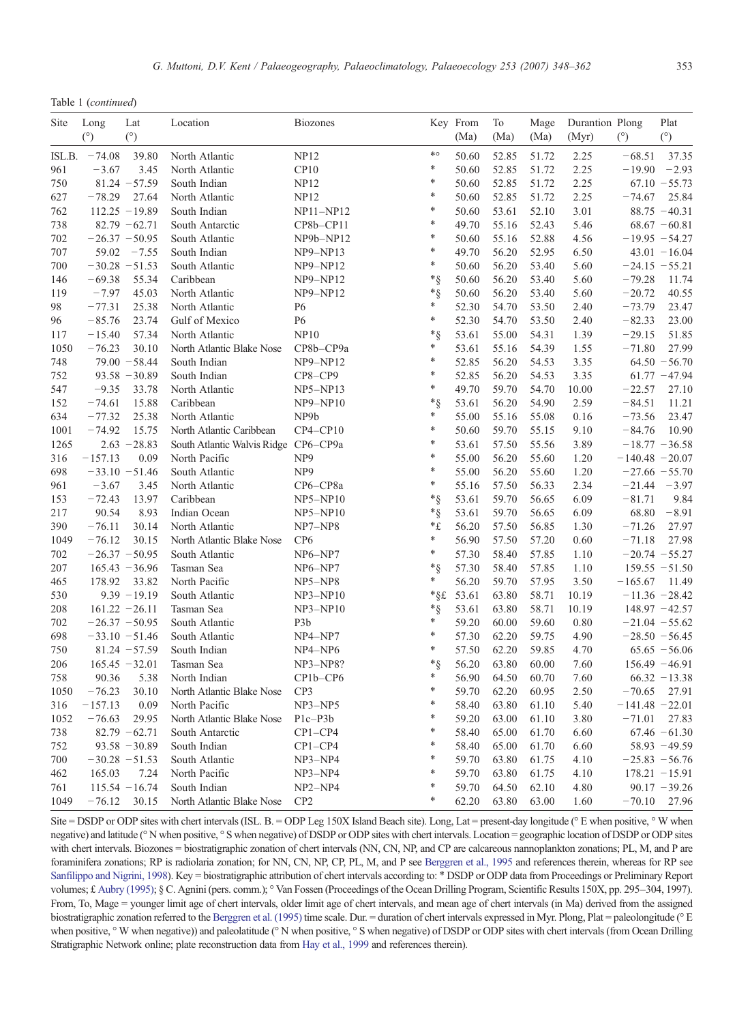|  |  | Table 1 (continued) |
|--|--|---------------------|
|--|--|---------------------|

| ∗o<br>$-74.08$<br>39.80<br>North Atlantic<br><b>NP12</b><br>2.25<br>$-68.51$<br>37.35<br>ISL.B.<br>50.60<br>52.85<br>51.72<br>*<br>$-3.67$<br>3.45<br>CP10<br>50.60<br>52.85<br>51.72<br>2.25<br>$-19.90$<br>$-2.93$<br>961<br>North Atlantic<br>*<br>$81.24 - 57.59$<br>South Indian<br><b>NP12</b><br>50.60<br>52.85<br>2.25<br>$67.10 - 55.73$<br>750<br>51.72<br>*<br>627<br>$-78.29$<br>27.64<br><b>NP12</b><br>50.60<br>52.85<br>2.25<br>25.84<br>North Atlantic<br>51.72<br>$-74.67$<br>$\ast$<br>762<br>$112.25 - 19.89$<br>50.60<br>53.61<br>52.10<br>3.01<br>$88.75 - 40.31$<br>South Indian<br>NP11-NP12<br>$\ast$<br>738<br>$82.79 - 62.71$<br>49.70<br>55.16<br>52.43<br>South Antarctic<br>CP8b-CP11<br>5.46<br>$68.67 - 60.81$<br>*<br>702<br>$-26.37 - 50.95$<br>South Atlantic<br>NP9b-NP12<br>50.60<br>55.16<br>52.88<br>4.56<br>$-19.95 - 54.27$<br>×<br>707<br>59.02<br>$-7.55$<br>South Indian<br>$NP9-NP13$<br>49.70<br>56.20<br>52.95<br>6.50<br>$43.01 - 16.04$<br>*<br>700<br>$-30.28 - 51.53$<br>South Atlantic<br>50.60<br>56.20<br>53.40<br>5.60<br>$NP9-NP12$<br>$-24.15 - 55.21$<br>*§<br>50.60<br>56.20<br>$-69.38$<br>55.34<br>Caribbean<br><b>NP9-NP12</b><br>53.40<br>5.60<br>$-79.28$<br>11.74<br>146<br>*§<br>119<br>$-7.97$<br>45.03<br>50.60<br>56.20<br>$-20.72$<br>North Atlantic<br><b>NP9-NP12</b><br>53.40<br>5.60<br>40.55<br>*<br>98<br>$-77.31$<br>25.38<br>North Atlantic<br>52.30<br>54.70<br>$-73.79$<br>23.47<br>P <sub>6</sub><br>53.50<br>2.40<br>*<br>96<br>$-85.76$<br>23.74<br>Gulf of Mexico<br>P <sub>6</sub><br>52.30<br>54.70<br>2.40<br>$-82.33$<br>23.00<br>53.50<br>$*_{\S}$<br>$-15.40$<br>57.34<br>North Atlantic<br>NP10<br>53.61<br>55.00<br>54.31<br>1.39<br>$-29.15$<br>51.85<br>117<br>*<br>$-76.23$<br>30.10<br>53.61<br>$-71.80$<br>27.99<br>1050<br>North Atlantic Blake Nose<br>CP8b-CP9a<br>55.16<br>54.39<br>1.55<br>*<br>$79.00 - 58.44$<br>52.85<br>748<br>South Indian<br><b>NP9-NP12</b><br>56.20<br>54.53<br>3.35<br>$64.50 - 56.70$<br>$\ast$<br>752<br>$93.58 - 30.89$<br>South Indian<br>52.85<br>56.20<br>3.35<br>CP8-CP9<br>54.53<br>$61.77 - 47.94$<br>*<br>$-9.35$<br>33.78<br>North Atlantic<br>49.70<br>59.70<br>$-22.57$<br>27.10<br>547<br>$NP5-NP13$<br>54.70<br>10.00<br>152<br>$-74.61$<br>15.88<br>Caribbean<br>NP9-NP10<br>*§<br>53.61<br>56.20<br>54.90<br>2.59<br>$-84.51$<br>11.21<br>*<br>NP9b<br>634<br>$-77.32$<br>25.38<br>North Atlantic<br>55.00<br>55.16<br>55.08<br>0.16<br>$-73.56$<br>23.47<br>$\ast$<br>$-74.92$<br>15.75<br>North Atlantic Caribbean<br>$CP4-CP10$<br>50.60<br>59.70<br>9.10<br>$-84.76$<br>10.90<br>1001<br>55.15<br>*<br>1265<br>$2.63 - 28.83$<br>South Atlantic Walvis Ridge CP6-CP9a<br>53.61<br>57.50<br>55.56<br>3.89<br>$-18.77 - 36.58$<br>*<br>55.00<br>316<br>$-157.13$<br>0.09<br>North Pacific<br>NP <sub>9</sub><br>56.20<br>55.60<br>1.20<br>$-140.48 - 20.07$<br>*<br>$-33.10 - 51.46$<br>NP <sub>9</sub><br>55.00<br>56.20<br>698<br>South Atlantic<br>55.60<br>1.20<br>$-27.66 - 55.70$<br>*<br>961<br>$-3.67$<br>North Atlantic<br>55.16<br>57.50<br>2.34<br>$-3.97$<br>3.45<br>CP6-CP8a<br>56.33<br>$-21.44$<br>$*_{\S}$<br>$-72.43$<br>13.97<br>Caribbean<br>53.61<br>59.70<br>56.65<br>6.09<br>$-81.71$<br>9.84<br>153<br>$NP5-NP10$<br>90.54<br>8.93<br>*§<br>53.61<br>217<br>Indian Ocean<br>59.70<br>56.65<br>6.09<br>68.80<br>$-8.91$<br>$NP5-NP10$<br>390<br>$-76.11$<br>30.14<br>North Atlantic<br>NP7-NP8<br>*£<br>56.20<br>57.50<br>56.85<br>1.30<br>$-71.26$<br>27.97<br>*<br>30.15<br>1049<br>$-76.12$<br>North Atlantic Blake Nose<br>CP <sub>6</sub><br>56.90<br>57.50<br>57.20<br>0.60<br>$-71.18$<br>27.98<br>*<br>$-26.37 - 50.95$<br>57.30<br>58.40<br>702<br>South Atlantic<br>57.85<br>1.10<br>$-20.74 - 55.27$<br>$NP6-NP7$<br>$*_{\S}$<br>207<br>$165.43 - 36.96$<br>57.30<br>58.40<br>$159.55 - 51.50$<br>Tasman Sea<br>NP6-NP7<br>57.85<br>1.10<br>33.82<br>*<br>56.20<br>59.70<br>3.50<br>465<br>178.92<br>North Pacific<br>NP5-NP8<br>57.95<br>$-165.67$<br>11.49<br>$9.39 - 19.19$<br>*§£<br>53.61<br>63.80<br>$-11.36 - 28.42$<br>530<br>South Atlantic<br>$NP3-NP10$<br>58.71<br>10.19<br>208<br>$161.22 - 26.11$<br>Tasman Sea<br>$NP3-NP10$<br>*§<br>53.61<br>63.80<br>58.71<br>10.19<br>$148.97 - 42.57$<br>*<br>702<br>$-26.37 - 50.95$<br>South Atlantic<br>P <sub>3</sub> b<br>59.20<br>60.00<br>59.60<br>0.80<br>$-21.04 - 55.62$<br>*<br>698<br>$-33.10 - 51.46$<br>South Atlantic<br>NP4-NP7<br>57.30<br>62.20<br>59.75<br>4.90<br>$-28.50 - 56.45$<br>*<br>750<br>$81.24 - 57.59$<br>South Indian<br>57.50<br>62.20<br>59.85<br>4.70<br>$65.65 - 56.06$<br>NP4-NP6<br>*§<br>56.20<br>63.80<br>206<br>$165.45 - 32.01$<br>Tasman Sea<br>NP3-NP8?<br>60.00<br>7.60<br>$156.49 - 46.91$<br>*<br>90.36<br>5.38<br>CP1b-CP6<br>56.90<br>64.50<br>758<br>North Indian<br>60.70<br>7.60<br>$66.32 - 13.38$<br>*<br>$-76.23$<br>30.10<br>North Atlantic Blake Nose<br>CP3<br>59.70<br>62.20<br>60.95<br>2.50<br>$-70.65$<br>1050<br>27.91<br>$\ast$<br>0.09<br>$-157.13$<br>North Pacific<br>$NP3-NP5$<br>58.40<br>63.80<br>61.10<br>5.40<br>$-141.48 - 22.01$<br>316<br>$\ast$<br>1052<br>$-76.63$<br>29.95<br>North Atlantic Blake Nose<br>59.20<br>63.00<br>61.10<br>3.80<br>$-71.01$<br>27.83<br>$P1c-P3b$<br>×<br>$82.79 - 62.71$<br>58.40<br>738<br>South Antarctic<br>$CP1 - CP4$<br>65.00<br>61.70<br>6.60<br>$67.46 - 61.30$<br>×<br>58.40<br>752<br>$93.58 - 30.89$<br>South Indian<br>$CP1 - CP4$<br>65.00<br>61.70<br>6.60<br>$58.93 - 49.59$<br>$-30.28 - 51.53$<br>59.70<br>700<br>South Atlantic<br>NP3-NP4<br>63.80<br>61.75<br>4.10<br>$-25.83 - 56.76$<br>∗<br>462<br>7.24<br>North Pacific<br>59.70<br>63.80<br>61.75<br>$178.21 - 15.91$<br>165.03<br>NP3-NP4<br>4.10<br>$115.54 - 16.74$<br>$NP2-NP4$<br>59.70<br>64.50<br>62.10<br>4.80<br>$90.17 - 39.26$<br>761<br>South Indian<br>*<br>1049<br>30.15<br>CP <sub>2</sub><br>62.20<br>63.80<br>63.00<br>1.60<br>$-70.10$<br>27.96<br>$-76.12$<br>North Atlantic Blake Nose | Site | Long<br>(°) | Lat<br>(°) | Location | <b>Biozones</b> | Key From<br>(Ma) | To<br>(Ma) | Mage<br>(Ma) | Durantion Plong<br>(Myr) | (°) | Plat<br>(°) |
|-------------------------------------------------------------------------------------------------------------------------------------------------------------------------------------------------------------------------------------------------------------------------------------------------------------------------------------------------------------------------------------------------------------------------------------------------------------------------------------------------------------------------------------------------------------------------------------------------------------------------------------------------------------------------------------------------------------------------------------------------------------------------------------------------------------------------------------------------------------------------------------------------------------------------------------------------------------------------------------------------------------------------------------------------------------------------------------------------------------------------------------------------------------------------------------------------------------------------------------------------------------------------------------------------------------------------------------------------------------------------------------------------------------------------------------------------------------------------------------------------------------------------------------------------------------------------------------------------------------------------------------------------------------------------------------------------------------------------------------------------------------------------------------------------------------------------------------------------------------------------------------------------------------------------------------------------------------------------------------------------------------------------------------------------------------------------------------------------------------------------------------------------------------------------------------------------------------------------------------------------------------------------------------------------------------------------------------------------------------------------------------------------------------------------------------------------------------------------------------------------------------------------------------------------------------------------------------------------------------------------------------------------------------------------------------------------------------------------------------------------------------------------------------------------------------------------------------------------------------------------------------------------------------------------------------------------------------------------------------------------------------------------------------------------------------------------------------------------------------------------------------------------------------------------------------------------------------------------------------------------------------------------------------------------------------------------------------------------------------------------------------------------------------------------------------------------------------------------------------------------------------------------------------------------------------------------------------------------------------------------------------------------------------------------------------------------------------------------------------------------------------------------------------------------------------------------------------------------------------------------------------------------------------------------------------------------------------------------------------------------------------------------------------------------------------------------------------------------------------------------------------------------------------------------------------------------------------------------------------------------------------------------------------------------------------------------------------------------------------------------------------------------------------------------------------------------------------------------------------------------------------------------------------------------------------------------------------------------------------------------------------------------------------------------------------------------------------------------------------------------------------------------------------------------------------------------------------------------------------------------------------------------------------------------------------------------------------------------------------------------------------------------------------------------------------------------------------------------------------------------------------------------------------------------------------------------------------------------------------------------------------------------------------------------------------------------------------------------------------------------------------------------------------------------------------------------------------------------------------------------------------------------------------------------------------------------------------------------------------------------------------------------------------------------------------------------------------------------------------------------------------------------------------------------------------------------------------------------------------------------------------------------------------------------------------------------------------------------------------------------------------------------------------|------|-------------|------------|----------|-----------------|------------------|------------|--------------|--------------------------|-----|-------------|
|                                                                                                                                                                                                                                                                                                                                                                                                                                                                                                                                                                                                                                                                                                                                                                                                                                                                                                                                                                                                                                                                                                                                                                                                                                                                                                                                                                                                                                                                                                                                                                                                                                                                                                                                                                                                                                                                                                                                                                                                                                                                                                                                                                                                                                                                                                                                                                                                                                                                                                                                                                                                                                                                                                                                                                                                                                                                                                                                                                                                                                                                                                                                                                                                                                                                                                                                                                                                                                                                                                                                                                                                                                                                                                                                                                                                                                                                                                                                                                                                                                                                                                                                                                                                                                                                                                                                                                                                                                                                                                                                                                                                                                                                                                                                                                                                                                                                                                                                                                                                                                                                                                                                                                                                                                                                                                                                                                                                                                                                                                                                                                                                                                                                                                                                                                                                                                                                                                                                                                                                                                     |      |             |            |          |                 |                  |            |              |                          |     |             |
|                                                                                                                                                                                                                                                                                                                                                                                                                                                                                                                                                                                                                                                                                                                                                                                                                                                                                                                                                                                                                                                                                                                                                                                                                                                                                                                                                                                                                                                                                                                                                                                                                                                                                                                                                                                                                                                                                                                                                                                                                                                                                                                                                                                                                                                                                                                                                                                                                                                                                                                                                                                                                                                                                                                                                                                                                                                                                                                                                                                                                                                                                                                                                                                                                                                                                                                                                                                                                                                                                                                                                                                                                                                                                                                                                                                                                                                                                                                                                                                                                                                                                                                                                                                                                                                                                                                                                                                                                                                                                                                                                                                                                                                                                                                                                                                                                                                                                                                                                                                                                                                                                                                                                                                                                                                                                                                                                                                                                                                                                                                                                                                                                                                                                                                                                                                                                                                                                                                                                                                                                                     |      |             |            |          |                 |                  |            |              |                          |     |             |
|                                                                                                                                                                                                                                                                                                                                                                                                                                                                                                                                                                                                                                                                                                                                                                                                                                                                                                                                                                                                                                                                                                                                                                                                                                                                                                                                                                                                                                                                                                                                                                                                                                                                                                                                                                                                                                                                                                                                                                                                                                                                                                                                                                                                                                                                                                                                                                                                                                                                                                                                                                                                                                                                                                                                                                                                                                                                                                                                                                                                                                                                                                                                                                                                                                                                                                                                                                                                                                                                                                                                                                                                                                                                                                                                                                                                                                                                                                                                                                                                                                                                                                                                                                                                                                                                                                                                                                                                                                                                                                                                                                                                                                                                                                                                                                                                                                                                                                                                                                                                                                                                                                                                                                                                                                                                                                                                                                                                                                                                                                                                                                                                                                                                                                                                                                                                                                                                                                                                                                                                                                     |      |             |            |          |                 |                  |            |              |                          |     |             |
|                                                                                                                                                                                                                                                                                                                                                                                                                                                                                                                                                                                                                                                                                                                                                                                                                                                                                                                                                                                                                                                                                                                                                                                                                                                                                                                                                                                                                                                                                                                                                                                                                                                                                                                                                                                                                                                                                                                                                                                                                                                                                                                                                                                                                                                                                                                                                                                                                                                                                                                                                                                                                                                                                                                                                                                                                                                                                                                                                                                                                                                                                                                                                                                                                                                                                                                                                                                                                                                                                                                                                                                                                                                                                                                                                                                                                                                                                                                                                                                                                                                                                                                                                                                                                                                                                                                                                                                                                                                                                                                                                                                                                                                                                                                                                                                                                                                                                                                                                                                                                                                                                                                                                                                                                                                                                                                                                                                                                                                                                                                                                                                                                                                                                                                                                                                                                                                                                                                                                                                                                                     |      |             |            |          |                 |                  |            |              |                          |     |             |
|                                                                                                                                                                                                                                                                                                                                                                                                                                                                                                                                                                                                                                                                                                                                                                                                                                                                                                                                                                                                                                                                                                                                                                                                                                                                                                                                                                                                                                                                                                                                                                                                                                                                                                                                                                                                                                                                                                                                                                                                                                                                                                                                                                                                                                                                                                                                                                                                                                                                                                                                                                                                                                                                                                                                                                                                                                                                                                                                                                                                                                                                                                                                                                                                                                                                                                                                                                                                                                                                                                                                                                                                                                                                                                                                                                                                                                                                                                                                                                                                                                                                                                                                                                                                                                                                                                                                                                                                                                                                                                                                                                                                                                                                                                                                                                                                                                                                                                                                                                                                                                                                                                                                                                                                                                                                                                                                                                                                                                                                                                                                                                                                                                                                                                                                                                                                                                                                                                                                                                                                                                     |      |             |            |          |                 |                  |            |              |                          |     |             |
|                                                                                                                                                                                                                                                                                                                                                                                                                                                                                                                                                                                                                                                                                                                                                                                                                                                                                                                                                                                                                                                                                                                                                                                                                                                                                                                                                                                                                                                                                                                                                                                                                                                                                                                                                                                                                                                                                                                                                                                                                                                                                                                                                                                                                                                                                                                                                                                                                                                                                                                                                                                                                                                                                                                                                                                                                                                                                                                                                                                                                                                                                                                                                                                                                                                                                                                                                                                                                                                                                                                                                                                                                                                                                                                                                                                                                                                                                                                                                                                                                                                                                                                                                                                                                                                                                                                                                                                                                                                                                                                                                                                                                                                                                                                                                                                                                                                                                                                                                                                                                                                                                                                                                                                                                                                                                                                                                                                                                                                                                                                                                                                                                                                                                                                                                                                                                                                                                                                                                                                                                                     |      |             |            |          |                 |                  |            |              |                          |     |             |
|                                                                                                                                                                                                                                                                                                                                                                                                                                                                                                                                                                                                                                                                                                                                                                                                                                                                                                                                                                                                                                                                                                                                                                                                                                                                                                                                                                                                                                                                                                                                                                                                                                                                                                                                                                                                                                                                                                                                                                                                                                                                                                                                                                                                                                                                                                                                                                                                                                                                                                                                                                                                                                                                                                                                                                                                                                                                                                                                                                                                                                                                                                                                                                                                                                                                                                                                                                                                                                                                                                                                                                                                                                                                                                                                                                                                                                                                                                                                                                                                                                                                                                                                                                                                                                                                                                                                                                                                                                                                                                                                                                                                                                                                                                                                                                                                                                                                                                                                                                                                                                                                                                                                                                                                                                                                                                                                                                                                                                                                                                                                                                                                                                                                                                                                                                                                                                                                                                                                                                                                                                     |      |             |            |          |                 |                  |            |              |                          |     |             |
|                                                                                                                                                                                                                                                                                                                                                                                                                                                                                                                                                                                                                                                                                                                                                                                                                                                                                                                                                                                                                                                                                                                                                                                                                                                                                                                                                                                                                                                                                                                                                                                                                                                                                                                                                                                                                                                                                                                                                                                                                                                                                                                                                                                                                                                                                                                                                                                                                                                                                                                                                                                                                                                                                                                                                                                                                                                                                                                                                                                                                                                                                                                                                                                                                                                                                                                                                                                                                                                                                                                                                                                                                                                                                                                                                                                                                                                                                                                                                                                                                                                                                                                                                                                                                                                                                                                                                                                                                                                                                                                                                                                                                                                                                                                                                                                                                                                                                                                                                                                                                                                                                                                                                                                                                                                                                                                                                                                                                                                                                                                                                                                                                                                                                                                                                                                                                                                                                                                                                                                                                                     |      |             |            |          |                 |                  |            |              |                          |     |             |
|                                                                                                                                                                                                                                                                                                                                                                                                                                                                                                                                                                                                                                                                                                                                                                                                                                                                                                                                                                                                                                                                                                                                                                                                                                                                                                                                                                                                                                                                                                                                                                                                                                                                                                                                                                                                                                                                                                                                                                                                                                                                                                                                                                                                                                                                                                                                                                                                                                                                                                                                                                                                                                                                                                                                                                                                                                                                                                                                                                                                                                                                                                                                                                                                                                                                                                                                                                                                                                                                                                                                                                                                                                                                                                                                                                                                                                                                                                                                                                                                                                                                                                                                                                                                                                                                                                                                                                                                                                                                                                                                                                                                                                                                                                                                                                                                                                                                                                                                                                                                                                                                                                                                                                                                                                                                                                                                                                                                                                                                                                                                                                                                                                                                                                                                                                                                                                                                                                                                                                                                                                     |      |             |            |          |                 |                  |            |              |                          |     |             |
|                                                                                                                                                                                                                                                                                                                                                                                                                                                                                                                                                                                                                                                                                                                                                                                                                                                                                                                                                                                                                                                                                                                                                                                                                                                                                                                                                                                                                                                                                                                                                                                                                                                                                                                                                                                                                                                                                                                                                                                                                                                                                                                                                                                                                                                                                                                                                                                                                                                                                                                                                                                                                                                                                                                                                                                                                                                                                                                                                                                                                                                                                                                                                                                                                                                                                                                                                                                                                                                                                                                                                                                                                                                                                                                                                                                                                                                                                                                                                                                                                                                                                                                                                                                                                                                                                                                                                                                                                                                                                                                                                                                                                                                                                                                                                                                                                                                                                                                                                                                                                                                                                                                                                                                                                                                                                                                                                                                                                                                                                                                                                                                                                                                                                                                                                                                                                                                                                                                                                                                                                                     |      |             |            |          |                 |                  |            |              |                          |     |             |
|                                                                                                                                                                                                                                                                                                                                                                                                                                                                                                                                                                                                                                                                                                                                                                                                                                                                                                                                                                                                                                                                                                                                                                                                                                                                                                                                                                                                                                                                                                                                                                                                                                                                                                                                                                                                                                                                                                                                                                                                                                                                                                                                                                                                                                                                                                                                                                                                                                                                                                                                                                                                                                                                                                                                                                                                                                                                                                                                                                                                                                                                                                                                                                                                                                                                                                                                                                                                                                                                                                                                                                                                                                                                                                                                                                                                                                                                                                                                                                                                                                                                                                                                                                                                                                                                                                                                                                                                                                                                                                                                                                                                                                                                                                                                                                                                                                                                                                                                                                                                                                                                                                                                                                                                                                                                                                                                                                                                                                                                                                                                                                                                                                                                                                                                                                                                                                                                                                                                                                                                                                     |      |             |            |          |                 |                  |            |              |                          |     |             |
|                                                                                                                                                                                                                                                                                                                                                                                                                                                                                                                                                                                                                                                                                                                                                                                                                                                                                                                                                                                                                                                                                                                                                                                                                                                                                                                                                                                                                                                                                                                                                                                                                                                                                                                                                                                                                                                                                                                                                                                                                                                                                                                                                                                                                                                                                                                                                                                                                                                                                                                                                                                                                                                                                                                                                                                                                                                                                                                                                                                                                                                                                                                                                                                                                                                                                                                                                                                                                                                                                                                                                                                                                                                                                                                                                                                                                                                                                                                                                                                                                                                                                                                                                                                                                                                                                                                                                                                                                                                                                                                                                                                                                                                                                                                                                                                                                                                                                                                                                                                                                                                                                                                                                                                                                                                                                                                                                                                                                                                                                                                                                                                                                                                                                                                                                                                                                                                                                                                                                                                                                                     |      |             |            |          |                 |                  |            |              |                          |     |             |
|                                                                                                                                                                                                                                                                                                                                                                                                                                                                                                                                                                                                                                                                                                                                                                                                                                                                                                                                                                                                                                                                                                                                                                                                                                                                                                                                                                                                                                                                                                                                                                                                                                                                                                                                                                                                                                                                                                                                                                                                                                                                                                                                                                                                                                                                                                                                                                                                                                                                                                                                                                                                                                                                                                                                                                                                                                                                                                                                                                                                                                                                                                                                                                                                                                                                                                                                                                                                                                                                                                                                                                                                                                                                                                                                                                                                                                                                                                                                                                                                                                                                                                                                                                                                                                                                                                                                                                                                                                                                                                                                                                                                                                                                                                                                                                                                                                                                                                                                                                                                                                                                                                                                                                                                                                                                                                                                                                                                                                                                                                                                                                                                                                                                                                                                                                                                                                                                                                                                                                                                                                     |      |             |            |          |                 |                  |            |              |                          |     |             |
|                                                                                                                                                                                                                                                                                                                                                                                                                                                                                                                                                                                                                                                                                                                                                                                                                                                                                                                                                                                                                                                                                                                                                                                                                                                                                                                                                                                                                                                                                                                                                                                                                                                                                                                                                                                                                                                                                                                                                                                                                                                                                                                                                                                                                                                                                                                                                                                                                                                                                                                                                                                                                                                                                                                                                                                                                                                                                                                                                                                                                                                                                                                                                                                                                                                                                                                                                                                                                                                                                                                                                                                                                                                                                                                                                                                                                                                                                                                                                                                                                                                                                                                                                                                                                                                                                                                                                                                                                                                                                                                                                                                                                                                                                                                                                                                                                                                                                                                                                                                                                                                                                                                                                                                                                                                                                                                                                                                                                                                                                                                                                                                                                                                                                                                                                                                                                                                                                                                                                                                                                                     |      |             |            |          |                 |                  |            |              |                          |     |             |
|                                                                                                                                                                                                                                                                                                                                                                                                                                                                                                                                                                                                                                                                                                                                                                                                                                                                                                                                                                                                                                                                                                                                                                                                                                                                                                                                                                                                                                                                                                                                                                                                                                                                                                                                                                                                                                                                                                                                                                                                                                                                                                                                                                                                                                                                                                                                                                                                                                                                                                                                                                                                                                                                                                                                                                                                                                                                                                                                                                                                                                                                                                                                                                                                                                                                                                                                                                                                                                                                                                                                                                                                                                                                                                                                                                                                                                                                                                                                                                                                                                                                                                                                                                                                                                                                                                                                                                                                                                                                                                                                                                                                                                                                                                                                                                                                                                                                                                                                                                                                                                                                                                                                                                                                                                                                                                                                                                                                                                                                                                                                                                                                                                                                                                                                                                                                                                                                                                                                                                                                                                     |      |             |            |          |                 |                  |            |              |                          |     |             |
|                                                                                                                                                                                                                                                                                                                                                                                                                                                                                                                                                                                                                                                                                                                                                                                                                                                                                                                                                                                                                                                                                                                                                                                                                                                                                                                                                                                                                                                                                                                                                                                                                                                                                                                                                                                                                                                                                                                                                                                                                                                                                                                                                                                                                                                                                                                                                                                                                                                                                                                                                                                                                                                                                                                                                                                                                                                                                                                                                                                                                                                                                                                                                                                                                                                                                                                                                                                                                                                                                                                                                                                                                                                                                                                                                                                                                                                                                                                                                                                                                                                                                                                                                                                                                                                                                                                                                                                                                                                                                                                                                                                                                                                                                                                                                                                                                                                                                                                                                                                                                                                                                                                                                                                                                                                                                                                                                                                                                                                                                                                                                                                                                                                                                                                                                                                                                                                                                                                                                                                                                                     |      |             |            |          |                 |                  |            |              |                          |     |             |
|                                                                                                                                                                                                                                                                                                                                                                                                                                                                                                                                                                                                                                                                                                                                                                                                                                                                                                                                                                                                                                                                                                                                                                                                                                                                                                                                                                                                                                                                                                                                                                                                                                                                                                                                                                                                                                                                                                                                                                                                                                                                                                                                                                                                                                                                                                                                                                                                                                                                                                                                                                                                                                                                                                                                                                                                                                                                                                                                                                                                                                                                                                                                                                                                                                                                                                                                                                                                                                                                                                                                                                                                                                                                                                                                                                                                                                                                                                                                                                                                                                                                                                                                                                                                                                                                                                                                                                                                                                                                                                                                                                                                                                                                                                                                                                                                                                                                                                                                                                                                                                                                                                                                                                                                                                                                                                                                                                                                                                                                                                                                                                                                                                                                                                                                                                                                                                                                                                                                                                                                                                     |      |             |            |          |                 |                  |            |              |                          |     |             |
|                                                                                                                                                                                                                                                                                                                                                                                                                                                                                                                                                                                                                                                                                                                                                                                                                                                                                                                                                                                                                                                                                                                                                                                                                                                                                                                                                                                                                                                                                                                                                                                                                                                                                                                                                                                                                                                                                                                                                                                                                                                                                                                                                                                                                                                                                                                                                                                                                                                                                                                                                                                                                                                                                                                                                                                                                                                                                                                                                                                                                                                                                                                                                                                                                                                                                                                                                                                                                                                                                                                                                                                                                                                                                                                                                                                                                                                                                                                                                                                                                                                                                                                                                                                                                                                                                                                                                                                                                                                                                                                                                                                                                                                                                                                                                                                                                                                                                                                                                                                                                                                                                                                                                                                                                                                                                                                                                                                                                                                                                                                                                                                                                                                                                                                                                                                                                                                                                                                                                                                                                                     |      |             |            |          |                 |                  |            |              |                          |     |             |
|                                                                                                                                                                                                                                                                                                                                                                                                                                                                                                                                                                                                                                                                                                                                                                                                                                                                                                                                                                                                                                                                                                                                                                                                                                                                                                                                                                                                                                                                                                                                                                                                                                                                                                                                                                                                                                                                                                                                                                                                                                                                                                                                                                                                                                                                                                                                                                                                                                                                                                                                                                                                                                                                                                                                                                                                                                                                                                                                                                                                                                                                                                                                                                                                                                                                                                                                                                                                                                                                                                                                                                                                                                                                                                                                                                                                                                                                                                                                                                                                                                                                                                                                                                                                                                                                                                                                                                                                                                                                                                                                                                                                                                                                                                                                                                                                                                                                                                                                                                                                                                                                                                                                                                                                                                                                                                                                                                                                                                                                                                                                                                                                                                                                                                                                                                                                                                                                                                                                                                                                                                     |      |             |            |          |                 |                  |            |              |                          |     |             |
|                                                                                                                                                                                                                                                                                                                                                                                                                                                                                                                                                                                                                                                                                                                                                                                                                                                                                                                                                                                                                                                                                                                                                                                                                                                                                                                                                                                                                                                                                                                                                                                                                                                                                                                                                                                                                                                                                                                                                                                                                                                                                                                                                                                                                                                                                                                                                                                                                                                                                                                                                                                                                                                                                                                                                                                                                                                                                                                                                                                                                                                                                                                                                                                                                                                                                                                                                                                                                                                                                                                                                                                                                                                                                                                                                                                                                                                                                                                                                                                                                                                                                                                                                                                                                                                                                                                                                                                                                                                                                                                                                                                                                                                                                                                                                                                                                                                                                                                                                                                                                                                                                                                                                                                                                                                                                                                                                                                                                                                                                                                                                                                                                                                                                                                                                                                                                                                                                                                                                                                                                                     |      |             |            |          |                 |                  |            |              |                          |     |             |
|                                                                                                                                                                                                                                                                                                                                                                                                                                                                                                                                                                                                                                                                                                                                                                                                                                                                                                                                                                                                                                                                                                                                                                                                                                                                                                                                                                                                                                                                                                                                                                                                                                                                                                                                                                                                                                                                                                                                                                                                                                                                                                                                                                                                                                                                                                                                                                                                                                                                                                                                                                                                                                                                                                                                                                                                                                                                                                                                                                                                                                                                                                                                                                                                                                                                                                                                                                                                                                                                                                                                                                                                                                                                                                                                                                                                                                                                                                                                                                                                                                                                                                                                                                                                                                                                                                                                                                                                                                                                                                                                                                                                                                                                                                                                                                                                                                                                                                                                                                                                                                                                                                                                                                                                                                                                                                                                                                                                                                                                                                                                                                                                                                                                                                                                                                                                                                                                                                                                                                                                                                     |      |             |            |          |                 |                  |            |              |                          |     |             |
|                                                                                                                                                                                                                                                                                                                                                                                                                                                                                                                                                                                                                                                                                                                                                                                                                                                                                                                                                                                                                                                                                                                                                                                                                                                                                                                                                                                                                                                                                                                                                                                                                                                                                                                                                                                                                                                                                                                                                                                                                                                                                                                                                                                                                                                                                                                                                                                                                                                                                                                                                                                                                                                                                                                                                                                                                                                                                                                                                                                                                                                                                                                                                                                                                                                                                                                                                                                                                                                                                                                                                                                                                                                                                                                                                                                                                                                                                                                                                                                                                                                                                                                                                                                                                                                                                                                                                                                                                                                                                                                                                                                                                                                                                                                                                                                                                                                                                                                                                                                                                                                                                                                                                                                                                                                                                                                                                                                                                                                                                                                                                                                                                                                                                                                                                                                                                                                                                                                                                                                                                                     |      |             |            |          |                 |                  |            |              |                          |     |             |
|                                                                                                                                                                                                                                                                                                                                                                                                                                                                                                                                                                                                                                                                                                                                                                                                                                                                                                                                                                                                                                                                                                                                                                                                                                                                                                                                                                                                                                                                                                                                                                                                                                                                                                                                                                                                                                                                                                                                                                                                                                                                                                                                                                                                                                                                                                                                                                                                                                                                                                                                                                                                                                                                                                                                                                                                                                                                                                                                                                                                                                                                                                                                                                                                                                                                                                                                                                                                                                                                                                                                                                                                                                                                                                                                                                                                                                                                                                                                                                                                                                                                                                                                                                                                                                                                                                                                                                                                                                                                                                                                                                                                                                                                                                                                                                                                                                                                                                                                                                                                                                                                                                                                                                                                                                                                                                                                                                                                                                                                                                                                                                                                                                                                                                                                                                                                                                                                                                                                                                                                                                     |      |             |            |          |                 |                  |            |              |                          |     |             |
|                                                                                                                                                                                                                                                                                                                                                                                                                                                                                                                                                                                                                                                                                                                                                                                                                                                                                                                                                                                                                                                                                                                                                                                                                                                                                                                                                                                                                                                                                                                                                                                                                                                                                                                                                                                                                                                                                                                                                                                                                                                                                                                                                                                                                                                                                                                                                                                                                                                                                                                                                                                                                                                                                                                                                                                                                                                                                                                                                                                                                                                                                                                                                                                                                                                                                                                                                                                                                                                                                                                                                                                                                                                                                                                                                                                                                                                                                                                                                                                                                                                                                                                                                                                                                                                                                                                                                                                                                                                                                                                                                                                                                                                                                                                                                                                                                                                                                                                                                                                                                                                                                                                                                                                                                                                                                                                                                                                                                                                                                                                                                                                                                                                                                                                                                                                                                                                                                                                                                                                                                                     |      |             |            |          |                 |                  |            |              |                          |     |             |
|                                                                                                                                                                                                                                                                                                                                                                                                                                                                                                                                                                                                                                                                                                                                                                                                                                                                                                                                                                                                                                                                                                                                                                                                                                                                                                                                                                                                                                                                                                                                                                                                                                                                                                                                                                                                                                                                                                                                                                                                                                                                                                                                                                                                                                                                                                                                                                                                                                                                                                                                                                                                                                                                                                                                                                                                                                                                                                                                                                                                                                                                                                                                                                                                                                                                                                                                                                                                                                                                                                                                                                                                                                                                                                                                                                                                                                                                                                                                                                                                                                                                                                                                                                                                                                                                                                                                                                                                                                                                                                                                                                                                                                                                                                                                                                                                                                                                                                                                                                                                                                                                                                                                                                                                                                                                                                                                                                                                                                                                                                                                                                                                                                                                                                                                                                                                                                                                                                                                                                                                                                     |      |             |            |          |                 |                  |            |              |                          |     |             |
|                                                                                                                                                                                                                                                                                                                                                                                                                                                                                                                                                                                                                                                                                                                                                                                                                                                                                                                                                                                                                                                                                                                                                                                                                                                                                                                                                                                                                                                                                                                                                                                                                                                                                                                                                                                                                                                                                                                                                                                                                                                                                                                                                                                                                                                                                                                                                                                                                                                                                                                                                                                                                                                                                                                                                                                                                                                                                                                                                                                                                                                                                                                                                                                                                                                                                                                                                                                                                                                                                                                                                                                                                                                                                                                                                                                                                                                                                                                                                                                                                                                                                                                                                                                                                                                                                                                                                                                                                                                                                                                                                                                                                                                                                                                                                                                                                                                                                                                                                                                                                                                                                                                                                                                                                                                                                                                                                                                                                                                                                                                                                                                                                                                                                                                                                                                                                                                                                                                                                                                                                                     |      |             |            |          |                 |                  |            |              |                          |     |             |
|                                                                                                                                                                                                                                                                                                                                                                                                                                                                                                                                                                                                                                                                                                                                                                                                                                                                                                                                                                                                                                                                                                                                                                                                                                                                                                                                                                                                                                                                                                                                                                                                                                                                                                                                                                                                                                                                                                                                                                                                                                                                                                                                                                                                                                                                                                                                                                                                                                                                                                                                                                                                                                                                                                                                                                                                                                                                                                                                                                                                                                                                                                                                                                                                                                                                                                                                                                                                                                                                                                                                                                                                                                                                                                                                                                                                                                                                                                                                                                                                                                                                                                                                                                                                                                                                                                                                                                                                                                                                                                                                                                                                                                                                                                                                                                                                                                                                                                                                                                                                                                                                                                                                                                                                                                                                                                                                                                                                                                                                                                                                                                                                                                                                                                                                                                                                                                                                                                                                                                                                                                     |      |             |            |          |                 |                  |            |              |                          |     |             |
|                                                                                                                                                                                                                                                                                                                                                                                                                                                                                                                                                                                                                                                                                                                                                                                                                                                                                                                                                                                                                                                                                                                                                                                                                                                                                                                                                                                                                                                                                                                                                                                                                                                                                                                                                                                                                                                                                                                                                                                                                                                                                                                                                                                                                                                                                                                                                                                                                                                                                                                                                                                                                                                                                                                                                                                                                                                                                                                                                                                                                                                                                                                                                                                                                                                                                                                                                                                                                                                                                                                                                                                                                                                                                                                                                                                                                                                                                                                                                                                                                                                                                                                                                                                                                                                                                                                                                                                                                                                                                                                                                                                                                                                                                                                                                                                                                                                                                                                                                                                                                                                                                                                                                                                                                                                                                                                                                                                                                                                                                                                                                                                                                                                                                                                                                                                                                                                                                                                                                                                                                                     |      |             |            |          |                 |                  |            |              |                          |     |             |
|                                                                                                                                                                                                                                                                                                                                                                                                                                                                                                                                                                                                                                                                                                                                                                                                                                                                                                                                                                                                                                                                                                                                                                                                                                                                                                                                                                                                                                                                                                                                                                                                                                                                                                                                                                                                                                                                                                                                                                                                                                                                                                                                                                                                                                                                                                                                                                                                                                                                                                                                                                                                                                                                                                                                                                                                                                                                                                                                                                                                                                                                                                                                                                                                                                                                                                                                                                                                                                                                                                                                                                                                                                                                                                                                                                                                                                                                                                                                                                                                                                                                                                                                                                                                                                                                                                                                                                                                                                                                                                                                                                                                                                                                                                                                                                                                                                                                                                                                                                                                                                                                                                                                                                                                                                                                                                                                                                                                                                                                                                                                                                                                                                                                                                                                                                                                                                                                                                                                                                                                                                     |      |             |            |          |                 |                  |            |              |                          |     |             |
|                                                                                                                                                                                                                                                                                                                                                                                                                                                                                                                                                                                                                                                                                                                                                                                                                                                                                                                                                                                                                                                                                                                                                                                                                                                                                                                                                                                                                                                                                                                                                                                                                                                                                                                                                                                                                                                                                                                                                                                                                                                                                                                                                                                                                                                                                                                                                                                                                                                                                                                                                                                                                                                                                                                                                                                                                                                                                                                                                                                                                                                                                                                                                                                                                                                                                                                                                                                                                                                                                                                                                                                                                                                                                                                                                                                                                                                                                                                                                                                                                                                                                                                                                                                                                                                                                                                                                                                                                                                                                                                                                                                                                                                                                                                                                                                                                                                                                                                                                                                                                                                                                                                                                                                                                                                                                                                                                                                                                                                                                                                                                                                                                                                                                                                                                                                                                                                                                                                                                                                                                                     |      |             |            |          |                 |                  |            |              |                          |     |             |
|                                                                                                                                                                                                                                                                                                                                                                                                                                                                                                                                                                                                                                                                                                                                                                                                                                                                                                                                                                                                                                                                                                                                                                                                                                                                                                                                                                                                                                                                                                                                                                                                                                                                                                                                                                                                                                                                                                                                                                                                                                                                                                                                                                                                                                                                                                                                                                                                                                                                                                                                                                                                                                                                                                                                                                                                                                                                                                                                                                                                                                                                                                                                                                                                                                                                                                                                                                                                                                                                                                                                                                                                                                                                                                                                                                                                                                                                                                                                                                                                                                                                                                                                                                                                                                                                                                                                                                                                                                                                                                                                                                                                                                                                                                                                                                                                                                                                                                                                                                                                                                                                                                                                                                                                                                                                                                                                                                                                                                                                                                                                                                                                                                                                                                                                                                                                                                                                                                                                                                                                                                     |      |             |            |          |                 |                  |            |              |                          |     |             |
|                                                                                                                                                                                                                                                                                                                                                                                                                                                                                                                                                                                                                                                                                                                                                                                                                                                                                                                                                                                                                                                                                                                                                                                                                                                                                                                                                                                                                                                                                                                                                                                                                                                                                                                                                                                                                                                                                                                                                                                                                                                                                                                                                                                                                                                                                                                                                                                                                                                                                                                                                                                                                                                                                                                                                                                                                                                                                                                                                                                                                                                                                                                                                                                                                                                                                                                                                                                                                                                                                                                                                                                                                                                                                                                                                                                                                                                                                                                                                                                                                                                                                                                                                                                                                                                                                                                                                                                                                                                                                                                                                                                                                                                                                                                                                                                                                                                                                                                                                                                                                                                                                                                                                                                                                                                                                                                                                                                                                                                                                                                                                                                                                                                                                                                                                                                                                                                                                                                                                                                                                                     |      |             |            |          |                 |                  |            |              |                          |     |             |
|                                                                                                                                                                                                                                                                                                                                                                                                                                                                                                                                                                                                                                                                                                                                                                                                                                                                                                                                                                                                                                                                                                                                                                                                                                                                                                                                                                                                                                                                                                                                                                                                                                                                                                                                                                                                                                                                                                                                                                                                                                                                                                                                                                                                                                                                                                                                                                                                                                                                                                                                                                                                                                                                                                                                                                                                                                                                                                                                                                                                                                                                                                                                                                                                                                                                                                                                                                                                                                                                                                                                                                                                                                                                                                                                                                                                                                                                                                                                                                                                                                                                                                                                                                                                                                                                                                                                                                                                                                                                                                                                                                                                                                                                                                                                                                                                                                                                                                                                                                                                                                                                                                                                                                                                                                                                                                                                                                                                                                                                                                                                                                                                                                                                                                                                                                                                                                                                                                                                                                                                                                     |      |             |            |          |                 |                  |            |              |                          |     |             |
|                                                                                                                                                                                                                                                                                                                                                                                                                                                                                                                                                                                                                                                                                                                                                                                                                                                                                                                                                                                                                                                                                                                                                                                                                                                                                                                                                                                                                                                                                                                                                                                                                                                                                                                                                                                                                                                                                                                                                                                                                                                                                                                                                                                                                                                                                                                                                                                                                                                                                                                                                                                                                                                                                                                                                                                                                                                                                                                                                                                                                                                                                                                                                                                                                                                                                                                                                                                                                                                                                                                                                                                                                                                                                                                                                                                                                                                                                                                                                                                                                                                                                                                                                                                                                                                                                                                                                                                                                                                                                                                                                                                                                                                                                                                                                                                                                                                                                                                                                                                                                                                                                                                                                                                                                                                                                                                                                                                                                                                                                                                                                                                                                                                                                                                                                                                                                                                                                                                                                                                                                                     |      |             |            |          |                 |                  |            |              |                          |     |             |
|                                                                                                                                                                                                                                                                                                                                                                                                                                                                                                                                                                                                                                                                                                                                                                                                                                                                                                                                                                                                                                                                                                                                                                                                                                                                                                                                                                                                                                                                                                                                                                                                                                                                                                                                                                                                                                                                                                                                                                                                                                                                                                                                                                                                                                                                                                                                                                                                                                                                                                                                                                                                                                                                                                                                                                                                                                                                                                                                                                                                                                                                                                                                                                                                                                                                                                                                                                                                                                                                                                                                                                                                                                                                                                                                                                                                                                                                                                                                                                                                                                                                                                                                                                                                                                                                                                                                                                                                                                                                                                                                                                                                                                                                                                                                                                                                                                                                                                                                                                                                                                                                                                                                                                                                                                                                                                                                                                                                                                                                                                                                                                                                                                                                                                                                                                                                                                                                                                                                                                                                                                     |      |             |            |          |                 |                  |            |              |                          |     |             |
|                                                                                                                                                                                                                                                                                                                                                                                                                                                                                                                                                                                                                                                                                                                                                                                                                                                                                                                                                                                                                                                                                                                                                                                                                                                                                                                                                                                                                                                                                                                                                                                                                                                                                                                                                                                                                                                                                                                                                                                                                                                                                                                                                                                                                                                                                                                                                                                                                                                                                                                                                                                                                                                                                                                                                                                                                                                                                                                                                                                                                                                                                                                                                                                                                                                                                                                                                                                                                                                                                                                                                                                                                                                                                                                                                                                                                                                                                                                                                                                                                                                                                                                                                                                                                                                                                                                                                                                                                                                                                                                                                                                                                                                                                                                                                                                                                                                                                                                                                                                                                                                                                                                                                                                                                                                                                                                                                                                                                                                                                                                                                                                                                                                                                                                                                                                                                                                                                                                                                                                                                                     |      |             |            |          |                 |                  |            |              |                          |     |             |
|                                                                                                                                                                                                                                                                                                                                                                                                                                                                                                                                                                                                                                                                                                                                                                                                                                                                                                                                                                                                                                                                                                                                                                                                                                                                                                                                                                                                                                                                                                                                                                                                                                                                                                                                                                                                                                                                                                                                                                                                                                                                                                                                                                                                                                                                                                                                                                                                                                                                                                                                                                                                                                                                                                                                                                                                                                                                                                                                                                                                                                                                                                                                                                                                                                                                                                                                                                                                                                                                                                                                                                                                                                                                                                                                                                                                                                                                                                                                                                                                                                                                                                                                                                                                                                                                                                                                                                                                                                                                                                                                                                                                                                                                                                                                                                                                                                                                                                                                                                                                                                                                                                                                                                                                                                                                                                                                                                                                                                                                                                                                                                                                                                                                                                                                                                                                                                                                                                                                                                                                                                     |      |             |            |          |                 |                  |            |              |                          |     |             |
|                                                                                                                                                                                                                                                                                                                                                                                                                                                                                                                                                                                                                                                                                                                                                                                                                                                                                                                                                                                                                                                                                                                                                                                                                                                                                                                                                                                                                                                                                                                                                                                                                                                                                                                                                                                                                                                                                                                                                                                                                                                                                                                                                                                                                                                                                                                                                                                                                                                                                                                                                                                                                                                                                                                                                                                                                                                                                                                                                                                                                                                                                                                                                                                                                                                                                                                                                                                                                                                                                                                                                                                                                                                                                                                                                                                                                                                                                                                                                                                                                                                                                                                                                                                                                                                                                                                                                                                                                                                                                                                                                                                                                                                                                                                                                                                                                                                                                                                                                                                                                                                                                                                                                                                                                                                                                                                                                                                                                                                                                                                                                                                                                                                                                                                                                                                                                                                                                                                                                                                                                                     |      |             |            |          |                 |                  |            |              |                          |     |             |
|                                                                                                                                                                                                                                                                                                                                                                                                                                                                                                                                                                                                                                                                                                                                                                                                                                                                                                                                                                                                                                                                                                                                                                                                                                                                                                                                                                                                                                                                                                                                                                                                                                                                                                                                                                                                                                                                                                                                                                                                                                                                                                                                                                                                                                                                                                                                                                                                                                                                                                                                                                                                                                                                                                                                                                                                                                                                                                                                                                                                                                                                                                                                                                                                                                                                                                                                                                                                                                                                                                                                                                                                                                                                                                                                                                                                                                                                                                                                                                                                                                                                                                                                                                                                                                                                                                                                                                                                                                                                                                                                                                                                                                                                                                                                                                                                                                                                                                                                                                                                                                                                                                                                                                                                                                                                                                                                                                                                                                                                                                                                                                                                                                                                                                                                                                                                                                                                                                                                                                                                                                     |      |             |            |          |                 |                  |            |              |                          |     |             |
|                                                                                                                                                                                                                                                                                                                                                                                                                                                                                                                                                                                                                                                                                                                                                                                                                                                                                                                                                                                                                                                                                                                                                                                                                                                                                                                                                                                                                                                                                                                                                                                                                                                                                                                                                                                                                                                                                                                                                                                                                                                                                                                                                                                                                                                                                                                                                                                                                                                                                                                                                                                                                                                                                                                                                                                                                                                                                                                                                                                                                                                                                                                                                                                                                                                                                                                                                                                                                                                                                                                                                                                                                                                                                                                                                                                                                                                                                                                                                                                                                                                                                                                                                                                                                                                                                                                                                                                                                                                                                                                                                                                                                                                                                                                                                                                                                                                                                                                                                                                                                                                                                                                                                                                                                                                                                                                                                                                                                                                                                                                                                                                                                                                                                                                                                                                                                                                                                                                                                                                                                                     |      |             |            |          |                 |                  |            |              |                          |     |             |
|                                                                                                                                                                                                                                                                                                                                                                                                                                                                                                                                                                                                                                                                                                                                                                                                                                                                                                                                                                                                                                                                                                                                                                                                                                                                                                                                                                                                                                                                                                                                                                                                                                                                                                                                                                                                                                                                                                                                                                                                                                                                                                                                                                                                                                                                                                                                                                                                                                                                                                                                                                                                                                                                                                                                                                                                                                                                                                                                                                                                                                                                                                                                                                                                                                                                                                                                                                                                                                                                                                                                                                                                                                                                                                                                                                                                                                                                                                                                                                                                                                                                                                                                                                                                                                                                                                                                                                                                                                                                                                                                                                                                                                                                                                                                                                                                                                                                                                                                                                                                                                                                                                                                                                                                                                                                                                                                                                                                                                                                                                                                                                                                                                                                                                                                                                                                                                                                                                                                                                                                                                     |      |             |            |          |                 |                  |            |              |                          |     |             |
|                                                                                                                                                                                                                                                                                                                                                                                                                                                                                                                                                                                                                                                                                                                                                                                                                                                                                                                                                                                                                                                                                                                                                                                                                                                                                                                                                                                                                                                                                                                                                                                                                                                                                                                                                                                                                                                                                                                                                                                                                                                                                                                                                                                                                                                                                                                                                                                                                                                                                                                                                                                                                                                                                                                                                                                                                                                                                                                                                                                                                                                                                                                                                                                                                                                                                                                                                                                                                                                                                                                                                                                                                                                                                                                                                                                                                                                                                                                                                                                                                                                                                                                                                                                                                                                                                                                                                                                                                                                                                                                                                                                                                                                                                                                                                                                                                                                                                                                                                                                                                                                                                                                                                                                                                                                                                                                                                                                                                                                                                                                                                                                                                                                                                                                                                                                                                                                                                                                                                                                                                                     |      |             |            |          |                 |                  |            |              |                          |     |             |
|                                                                                                                                                                                                                                                                                                                                                                                                                                                                                                                                                                                                                                                                                                                                                                                                                                                                                                                                                                                                                                                                                                                                                                                                                                                                                                                                                                                                                                                                                                                                                                                                                                                                                                                                                                                                                                                                                                                                                                                                                                                                                                                                                                                                                                                                                                                                                                                                                                                                                                                                                                                                                                                                                                                                                                                                                                                                                                                                                                                                                                                                                                                                                                                                                                                                                                                                                                                                                                                                                                                                                                                                                                                                                                                                                                                                                                                                                                                                                                                                                                                                                                                                                                                                                                                                                                                                                                                                                                                                                                                                                                                                                                                                                                                                                                                                                                                                                                                                                                                                                                                                                                                                                                                                                                                                                                                                                                                                                                                                                                                                                                                                                                                                                                                                                                                                                                                                                                                                                                                                                                     |      |             |            |          |                 |                  |            |              |                          |     |             |
|                                                                                                                                                                                                                                                                                                                                                                                                                                                                                                                                                                                                                                                                                                                                                                                                                                                                                                                                                                                                                                                                                                                                                                                                                                                                                                                                                                                                                                                                                                                                                                                                                                                                                                                                                                                                                                                                                                                                                                                                                                                                                                                                                                                                                                                                                                                                                                                                                                                                                                                                                                                                                                                                                                                                                                                                                                                                                                                                                                                                                                                                                                                                                                                                                                                                                                                                                                                                                                                                                                                                                                                                                                                                                                                                                                                                                                                                                                                                                                                                                                                                                                                                                                                                                                                                                                                                                                                                                                                                                                                                                                                                                                                                                                                                                                                                                                                                                                                                                                                                                                                                                                                                                                                                                                                                                                                                                                                                                                                                                                                                                                                                                                                                                                                                                                                                                                                                                                                                                                                                                                     |      |             |            |          |                 |                  |            |              |                          |     |             |
|                                                                                                                                                                                                                                                                                                                                                                                                                                                                                                                                                                                                                                                                                                                                                                                                                                                                                                                                                                                                                                                                                                                                                                                                                                                                                                                                                                                                                                                                                                                                                                                                                                                                                                                                                                                                                                                                                                                                                                                                                                                                                                                                                                                                                                                                                                                                                                                                                                                                                                                                                                                                                                                                                                                                                                                                                                                                                                                                                                                                                                                                                                                                                                                                                                                                                                                                                                                                                                                                                                                                                                                                                                                                                                                                                                                                                                                                                                                                                                                                                                                                                                                                                                                                                                                                                                                                                                                                                                                                                                                                                                                                                                                                                                                                                                                                                                                                                                                                                                                                                                                                                                                                                                                                                                                                                                                                                                                                                                                                                                                                                                                                                                                                                                                                                                                                                                                                                                                                                                                                                                     |      |             |            |          |                 |                  |            |              |                          |     |             |
|                                                                                                                                                                                                                                                                                                                                                                                                                                                                                                                                                                                                                                                                                                                                                                                                                                                                                                                                                                                                                                                                                                                                                                                                                                                                                                                                                                                                                                                                                                                                                                                                                                                                                                                                                                                                                                                                                                                                                                                                                                                                                                                                                                                                                                                                                                                                                                                                                                                                                                                                                                                                                                                                                                                                                                                                                                                                                                                                                                                                                                                                                                                                                                                                                                                                                                                                                                                                                                                                                                                                                                                                                                                                                                                                                                                                                                                                                                                                                                                                                                                                                                                                                                                                                                                                                                                                                                                                                                                                                                                                                                                                                                                                                                                                                                                                                                                                                                                                                                                                                                                                                                                                                                                                                                                                                                                                                                                                                                                                                                                                                                                                                                                                                                                                                                                                                                                                                                                                                                                                                                     |      |             |            |          |                 |                  |            |              |                          |     |             |
|                                                                                                                                                                                                                                                                                                                                                                                                                                                                                                                                                                                                                                                                                                                                                                                                                                                                                                                                                                                                                                                                                                                                                                                                                                                                                                                                                                                                                                                                                                                                                                                                                                                                                                                                                                                                                                                                                                                                                                                                                                                                                                                                                                                                                                                                                                                                                                                                                                                                                                                                                                                                                                                                                                                                                                                                                                                                                                                                                                                                                                                                                                                                                                                                                                                                                                                                                                                                                                                                                                                                                                                                                                                                                                                                                                                                                                                                                                                                                                                                                                                                                                                                                                                                                                                                                                                                                                                                                                                                                                                                                                                                                                                                                                                                                                                                                                                                                                                                                                                                                                                                                                                                                                                                                                                                                                                                                                                                                                                                                                                                                                                                                                                                                                                                                                                                                                                                                                                                                                                                                                     |      |             |            |          |                 |                  |            |              |                          |     |             |
|                                                                                                                                                                                                                                                                                                                                                                                                                                                                                                                                                                                                                                                                                                                                                                                                                                                                                                                                                                                                                                                                                                                                                                                                                                                                                                                                                                                                                                                                                                                                                                                                                                                                                                                                                                                                                                                                                                                                                                                                                                                                                                                                                                                                                                                                                                                                                                                                                                                                                                                                                                                                                                                                                                                                                                                                                                                                                                                                                                                                                                                                                                                                                                                                                                                                                                                                                                                                                                                                                                                                                                                                                                                                                                                                                                                                                                                                                                                                                                                                                                                                                                                                                                                                                                                                                                                                                                                                                                                                                                                                                                                                                                                                                                                                                                                                                                                                                                                                                                                                                                                                                                                                                                                                                                                                                                                                                                                                                                                                                                                                                                                                                                                                                                                                                                                                                                                                                                                                                                                                                                     |      |             |            |          |                 |                  |            |              |                          |     |             |
|                                                                                                                                                                                                                                                                                                                                                                                                                                                                                                                                                                                                                                                                                                                                                                                                                                                                                                                                                                                                                                                                                                                                                                                                                                                                                                                                                                                                                                                                                                                                                                                                                                                                                                                                                                                                                                                                                                                                                                                                                                                                                                                                                                                                                                                                                                                                                                                                                                                                                                                                                                                                                                                                                                                                                                                                                                                                                                                                                                                                                                                                                                                                                                                                                                                                                                                                                                                                                                                                                                                                                                                                                                                                                                                                                                                                                                                                                                                                                                                                                                                                                                                                                                                                                                                                                                                                                                                                                                                                                                                                                                                                                                                                                                                                                                                                                                                                                                                                                                                                                                                                                                                                                                                                                                                                                                                                                                                                                                                                                                                                                                                                                                                                                                                                                                                                                                                                                                                                                                                                                                     |      |             |            |          |                 |                  |            |              |                          |     |             |

Site = DSDP or ODP sites with chert intervals (ISL. B. = ODP Leg 150X Island Beach site). Long, Lat = present-day longitude (° E when positive, ° W when negative) and latitude (° N when positive, ° S when negative) of DSDP or ODP sites with chert intervals. Location = geographic location of DSDP or ODP sites with chert intervals. Biozones = biostratigraphic zonation of chert intervals (NN, CN, NP, and CP are calcareous nannoplankton zonations; PL, M, and P are foraminifera zonations; RP is radiolaria zonation; for NN, CN, NP, CP, PL, M, and P see [Berggren et al., 1995](#page-13-0) and references therein, whereas for RP see [Sanfilippo and Nigrini, 1998\)](#page-14-0). Key = biostratigraphic attribution of chert intervals according to: \* DSDP or ODP data from Proceedings or Preliminary Report volumes; £ [Aubry \(1995\);](#page-13-0) § C. Agnini (pers. comm.); ° Van Fossen (Proceedings of the Ocean Drilling Program, Scientific Results 150X, pp. 295–304, 1997). From, To, Mage = younger limit age of chert intervals, older limit age of chert intervals, and mean age of chert intervals (in Ma) derived from the assigned biostratigraphic zonation referred to the [Berggren et al. \(1995\)](#page-13-0) time scale. Dur. = duration of chert intervals expressed in Myr. Plong, Plat = paleolongitude (° E when positive,  $\degree$  W when negative)) and paleolatitude ( $\degree$  N when positive,  $\degree$  S when negative) of DSDP or ODP sites with chert intervals (from Ocean Drilling Stratigraphic Network online; plate reconstruction data from [Hay et al., 1999](#page-13-0) and references therein).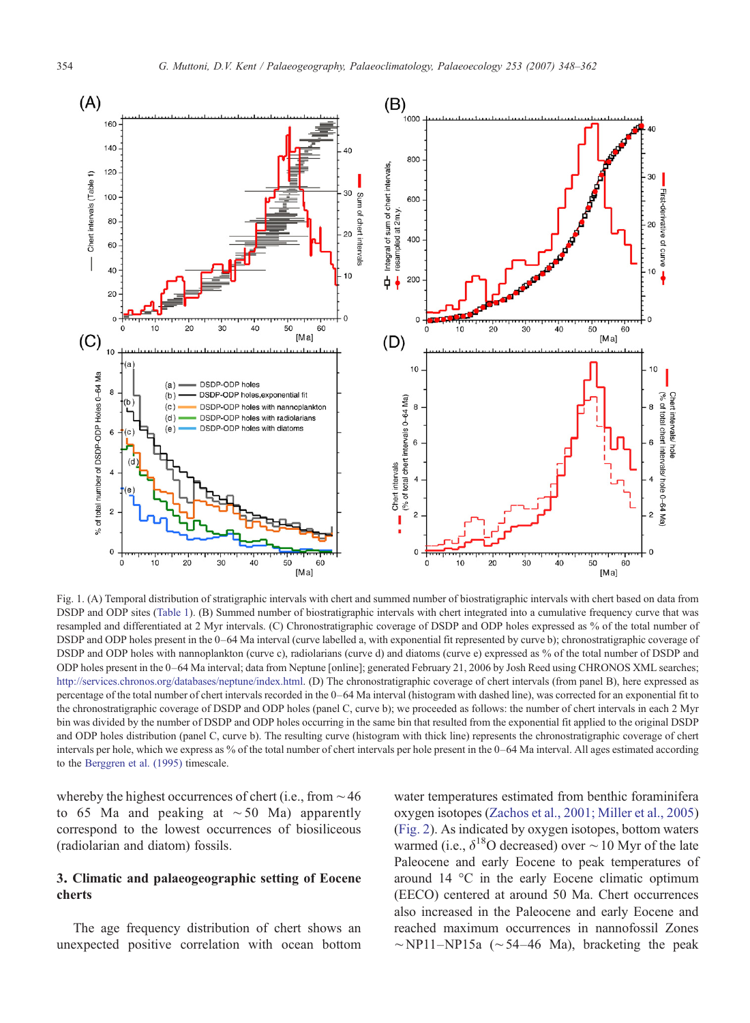<span id="page-6-0"></span>

Fig. 1. (A) Temporal distribution of stratigraphic intervals with chert and summed number of biostratigraphic intervals with chert based on data from DSDP and ODP sites ([Table 1](#page-3-0)). (B) Summed number of biostratigraphic intervals with chert integrated into a cumulative frequency curve that was resampled and differentiated at 2 Myr intervals. (C) Chronostratigraphic coverage of DSDP and ODP holes expressed as % of the total number of DSDP and ODP holes present in the 0–64 Ma interval (curve labelled a, with exponential fit represented by curve b); chronostratigraphic coverage of DSDP and ODP holes with nannoplankton (curve c), radiolarians (curve d) and diatoms (curve e) expressed as % of the total number of DSDP and ODP holes present in the 0–64 Ma interval; data from Neptune [online]; generated February 21, 2006 by Josh Reed using CHRONOS XML searches; <http://services.chronos.org/databases/neptune/index.html>. (D) The chronostratigraphic coverage of chert intervals (from panel B), here expressed as percentage of the total number of chert intervals recorded in the 0–64 Ma interval (histogram with dashed line), was corrected for an exponential fit to the chronostratigraphic coverage of DSDP and ODP holes (panel C, curve b); we proceeded as follows: the number of chert intervals in each 2 Myr bin was divided by the number of DSDP and ODP holes occurring in the same bin that resulted from the exponential fit applied to the original DSDP and ODP holes distribution (panel C, curve b). The resulting curve (histogram with thick line) represents the chronostratigraphic coverage of chert intervals per hole, which we express as % of the total number of chert intervals per hole present in the 0–64 Ma interval. All ages estimated according to the [Berggren et al. \(1995\)](#page-13-0) timescale.

whereby the highest occurrences of chert (i.e., from ∼46 to 65 Ma and peaking at ∼50 Ma) apparently correspond to the lowest occurrences of biosiliceous (radiolarian and diatom) fossils.

## 3. Climatic and palaeogeographic setting of Eocene cherts

The age frequency distribution of chert shows an unexpected positive correlation with ocean bottom

water temperatures estimated from benthic foraminifera oxygen isotopes [\(Zachos et al., 2001; Miller et al., 2005](#page-14-0)) [\(Fig. 2](#page-7-0)). As indicated by oxygen isotopes, bottom waters warmed (i.e.,  $\delta^{18}$ O decreased) over ~10 Myr of the late Paleocene and early Eocene to peak temperatures of around 14 °C in the early Eocene climatic optimum (EECO) centered at around 50 Ma. Chert occurrences also increased in the Paleocene and early Eocene and reached maximum occurrences in nannofossil Zones  $~\sim$ NP11–NP15a ( $~\sim$ 54–46 Ma), bracketing the peak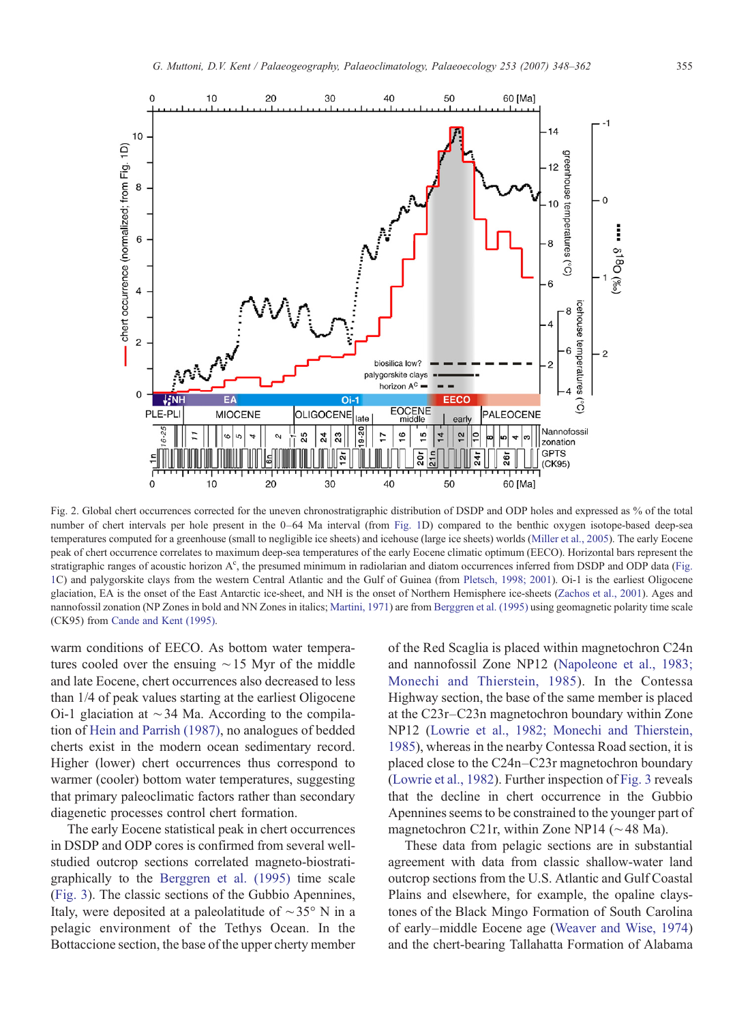<span id="page-7-0"></span>

Fig. 2. Global chert occurrences corrected for the uneven chronostratigraphic distribution of DSDP and ODP holes and expressed as % of the total number of chert intervals per hole present in the 0–64 Ma interval (from [Fig. 1](#page-6-0)D) compared to the benthic oxygen isotope-based deep-sea temperatures computed for a greenhouse (small to negligible ice sheets) and icehouse (large ice sheets) worlds ([Miller et al., 2005](#page-13-0)). The early Eocene peak of chert occurrence correlates to maximum deep-sea temperatures of the early Eocene climatic optimum (EECO). Horizontal bars represent the stratigraphic ranges of acoustic horizon A<sup>c</sup>, the presumed minimum in radiolarian and diatom occurrences inferred from DSDP and ODP data ([Fig.](#page-6-0) [1C](#page-6-0)) and palygorskite clays from the western Central Atlantic and the Gulf of Guinea (from [Pletsch, 1998; 2001\)](#page-14-0). Oi-1 is the earliest Oligocene glaciation, EA is the onset of the East Antarctic ice-sheet, and NH is the onset of Northern Hemisphere ice-sheets [\(Zachos et al., 2001](#page-14-0)). Ages and nannofossil zonation (NP Zones in bold and NN Zones in italics; [Martini, 1971\)](#page-13-0) are from [Berggren et al. \(1995\)](#page-13-0) using geomagnetic polarity time scale (CK95) from [Cande and Kent \(1995\)](#page-13-0).

warm conditions of EECO. As bottom water temperatures cooled over the ensuing ∼15 Myr of the middle and late Eocene, chert occurrences also decreased to less than 1/4 of peak values starting at the earliest Oligocene Oi-1 glaciation at ∼34 Ma. According to the compilation of [Hein and Parrish \(1987\),](#page-13-0) no analogues of bedded cherts exist in the modern ocean sedimentary record. Higher (lower) chert occurrences thus correspond to warmer (cooler) bottom water temperatures, suggesting that primary paleoclimatic factors rather than secondary diagenetic processes control chert formation.

The early Eocene statistical peak in chert occurrences in DSDP and ODP cores is confirmed from several wellstudied outcrop sections correlated magneto-biostratigraphically to the [Berggren et al. \(1995\)](#page-13-0) time scale [\(Fig. 3\)](#page-8-0). The classic sections of the Gubbio Apennines, Italy, were deposited at a paleolatitude of ∼35° N in a pelagic environment of the Tethys Ocean. In the Bottaccione section, the base of the upper cherty member of the Red Scaglia is placed within magnetochron C24n and nannofossil Zone NP12 [\(Napoleone et al., 1983;](#page-13-0) [Monechi and Thierstein, 1985](#page-13-0)). In the Contessa Highway section, the base of the same member is placed at the C23r–C23n magnetochron boundary within Zone NP12 ([Lowrie et al., 1982; Monechi and Thierstein,](#page-13-0) [1985\)](#page-13-0), whereas in the nearby Contessa Road section, it is placed close to the C24n–C23r magnetochron boundary [\(Lowrie et al., 1982\)](#page-13-0). Further inspection of [Fig. 3](#page-8-0) reveals that the decline in chert occurrence in the Gubbio Apennines seems to be constrained to the younger part of magnetochron C21r, within Zone NP14 (∼48 Ma).

These data from pelagic sections are in substantial agreement with data from classic shallow-water land outcrop sections from the U.S. Atlantic and Gulf Coastal Plains and elsewhere, for example, the opaline claystones of the Black Mingo Formation of South Carolina of early–middle Eocene age ([Weaver and Wise, 1974\)](#page-14-0) and the chert-bearing Tallahatta Formation of Alabama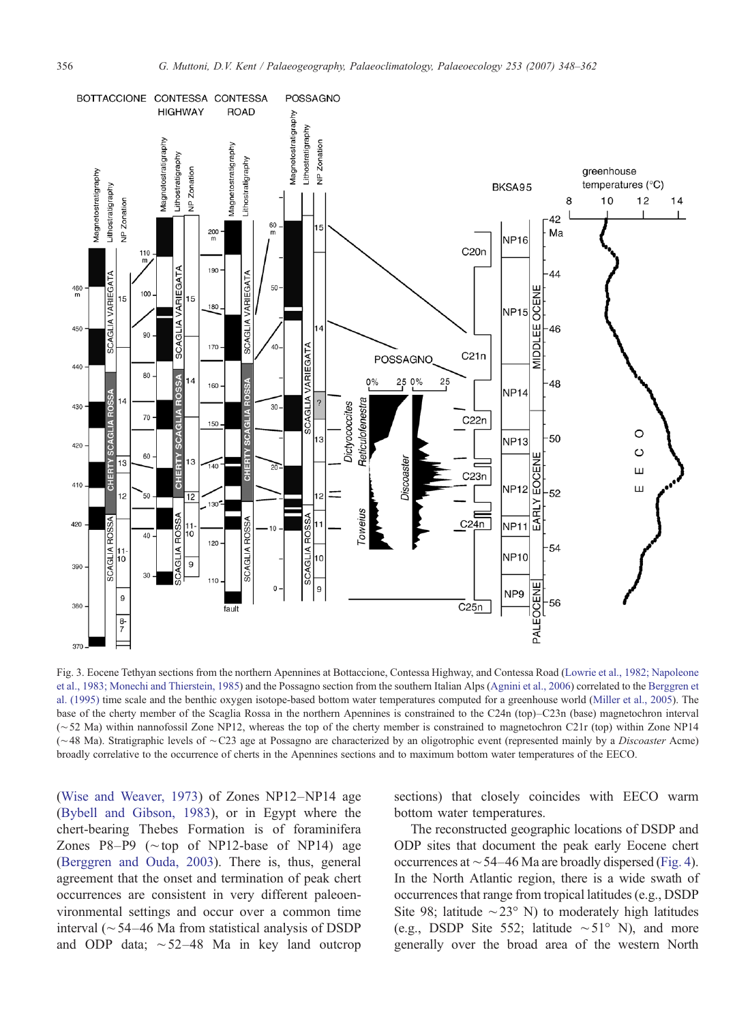<span id="page-8-0"></span>

Fig. 3. Eocene Tethyan sections from the northern Apennines at Bottaccione, Contessa Highway, and Contessa Road [\(Lowrie et al., 1982; Napoleone](#page-13-0) [et al., 1983; Monechi and Thierstein, 1985\)](#page-13-0) and the Possagno section from the southern Italian Alps [\(Agnini et al., 2006](#page-12-0)) correlated to the [Berggren et](#page-13-0) [al. \(1995\)](#page-13-0) time scale and the benthic oxygen isotope-based bottom water temperatures computed for a greenhouse world ([Miller et al., 2005](#page-13-0)). The base of the cherty member of the Scaglia Rossa in the northern Apennines is constrained to the C24n (top)–C23n (base) magnetochron interval (∼52 Ma) within nannofossil Zone NP12, whereas the top of the cherty member is constrained to magnetochron C21r (top) within Zone NP14 (∼48 Ma). Stratigraphic levels of ∼C23 age at Possagno are characterized by an oligotrophic event (represented mainly by a Discoaster Acme) broadly correlative to the occurrence of cherts in the Apennines sections and to maximum bottom water temperatures of the EECO.

[\(Wise and Weaver, 1973\)](#page-14-0) of Zones NP12–NP14 age [\(Bybell and Gibson, 1983\)](#page-13-0), or in Egypt where the chert-bearing Thebes Formation is of foraminifera Zones P8–P9 (∼top of NP12-base of NP14) age [\(Berggren and Ouda, 2003](#page-13-0)). There is, thus, general agreement that the onset and termination of peak chert occurrences are consistent in very different paleoenvironmental settings and occur over a common time interval (∼54–46 Ma from statistical analysis of DSDP and ODP data; ∼52–48 Ma in key land outcrop

sections) that closely coincides with EECO warm bottom water temperatures.

The reconstructed geographic locations of DSDP and ODP sites that document the peak early Eocene chert occurrences at ∼54–46 Ma are broadly dispersed ([Fig. 4\)](#page-9-0). In the North Atlantic region, there is a wide swath of occurrences that range from tropical latitudes (e.g., DSDP Site 98; latitude  $\sim$ 23° N) to moderately high latitudes (e.g., DSDP Site 552; latitude ∼51° N), and more generally over the broad area of the western North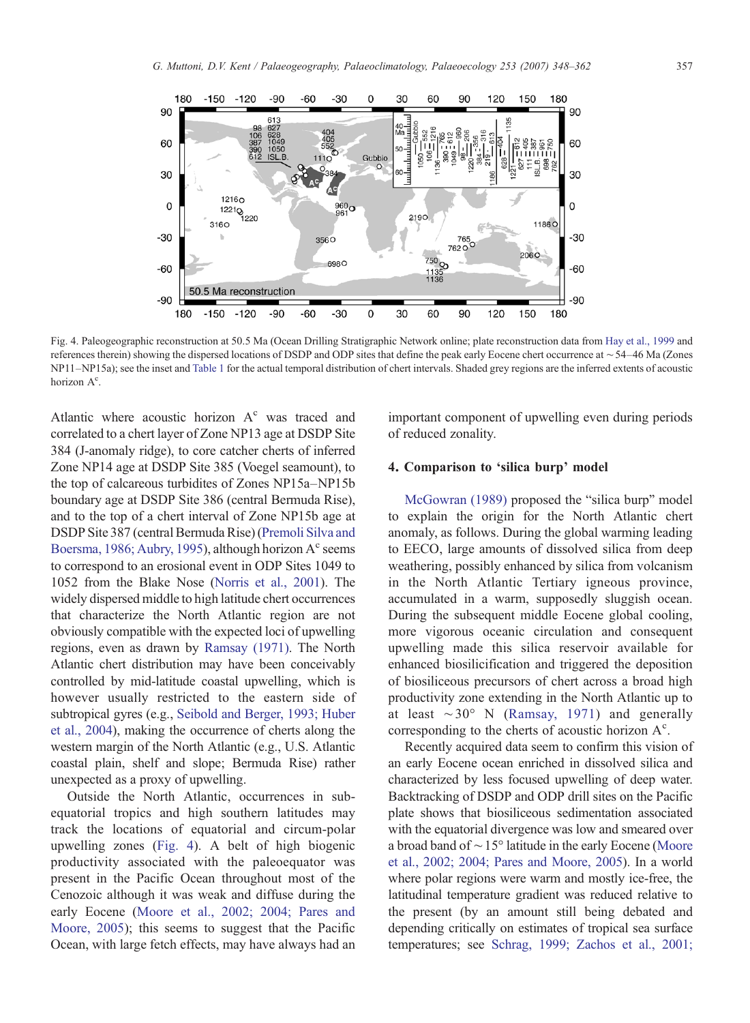<span id="page-9-0"></span>

Fig. 4. Paleogeographic reconstruction at 50.5 Ma (Ocean Drilling Stratigraphic Network online; plate reconstruction data from [Hay et al., 1999](#page-13-0) and references therein) showing the dispersed locations of DSDP and ODP sites that define the peak early Eocene chert occurrence at ∼54–46 Ma (Zones NP11–NP15a); see the inset and [Table 1](#page-3-0) for the actual temporal distribution of chert intervals. Shaded grey regions are the inferred extents of acoustic horizon A<sup>c</sup>.

Atlantic where acoustic horizon  $A<sup>c</sup>$  was traced and correlated to a chert layer of Zone NP13 age at DSDP Site 384 (J-anomaly ridge), to core catcher cherts of inferred Zone NP14 age at DSDP Site 385 (Voegel seamount), to the top of calcareous turbidites of Zones NP15a–NP15b boundary age at DSDP Site 386 (central Bermuda Rise), and to the top of a chert interval of Zone NP15b age at DSDP Site 387 (central Bermuda Rise) [\(Premoli Silva and](#page-14-0) [Boersma, 1986; Aubry, 1995](#page-14-0)), although horizon  $A<sup>c</sup>$  seems to correspond to an erosional event in ODP Sites 1049 to 1052 from the Blake Nose ([Norris et al., 2001\)](#page-13-0). The widely dispersed middle to high latitude chert occurrences that characterize the North Atlantic region are not obviously compatible with the expected loci of upwelling regions, even as drawn by [Ramsay \(1971\).](#page-14-0) The North Atlantic chert distribution may have been conceivably controlled by mid-latitude coastal upwelling, which is however usually restricted to the eastern side of subtropical gyres (e.g., [Seibold and Berger, 1993; Huber](#page-14-0) [et al., 2004\)](#page-14-0), making the occurrence of cherts along the western margin of the North Atlantic (e.g., U.S. Atlantic coastal plain, shelf and slope; Bermuda Rise) rather unexpected as a proxy of upwelling.

Outside the North Atlantic, occurrences in subequatorial tropics and high southern latitudes may track the locations of equatorial and circum-polar upwelling zones (Fig. 4). A belt of high biogenic productivity associated with the paleoequator was present in the Pacific Ocean throughout most of the Cenozoic although it was weak and diffuse during the early Eocene [\(Moore et al., 2002; 2004; Pares and](#page-13-0) [Moore, 2005](#page-13-0)); this seems to suggest that the Pacific Ocean, with large fetch effects, may have always had an

important component of upwelling even during periods of reduced zonality.

## 4. Comparison to 'silica burp' model

[McGowran \(1989\)](#page-13-0) proposed the "silica burp" model to explain the origin for the North Atlantic chert anomaly, as follows. During the global warming leading to EECO, large amounts of dissolved silica from deep weathering, possibly enhanced by silica from volcanism in the North Atlantic Tertiary igneous province, accumulated in a warm, supposedly sluggish ocean. During the subsequent middle Eocene global cooling, more vigorous oceanic circulation and consequent upwelling made this silica reservoir available for enhanced biosilicification and triggered the deposition of biosiliceous precursors of chert across a broad high productivity zone extending in the North Atlantic up to at least ∼30° N [\(Ramsay, 1971\)](#page-14-0) and generally corresponding to the cherts of acoustic horizon  $A<sup>c</sup>$ .

Recently acquired data seem to confirm this vision of an early Eocene ocean enriched in dissolved silica and characterized by less focused upwelling of deep water. Backtracking of DSDP and ODP drill sites on the Pacific plate shows that biosiliceous sedimentation associated with the equatorial divergence was low and smeared over a broad band of ∼15° latitude in the early Eocene [\(Moore](#page-13-0) [et al., 2002; 2004; Pares and Moore, 2005](#page-13-0)). In a world where polar regions were warm and mostly ice-free, the latitudinal temperature gradient was reduced relative to the present (by an amount still being debated and depending critically on estimates of tropical sea surface temperatures; see [Schrag, 1999; Zachos et al., 2001;](#page-14-0)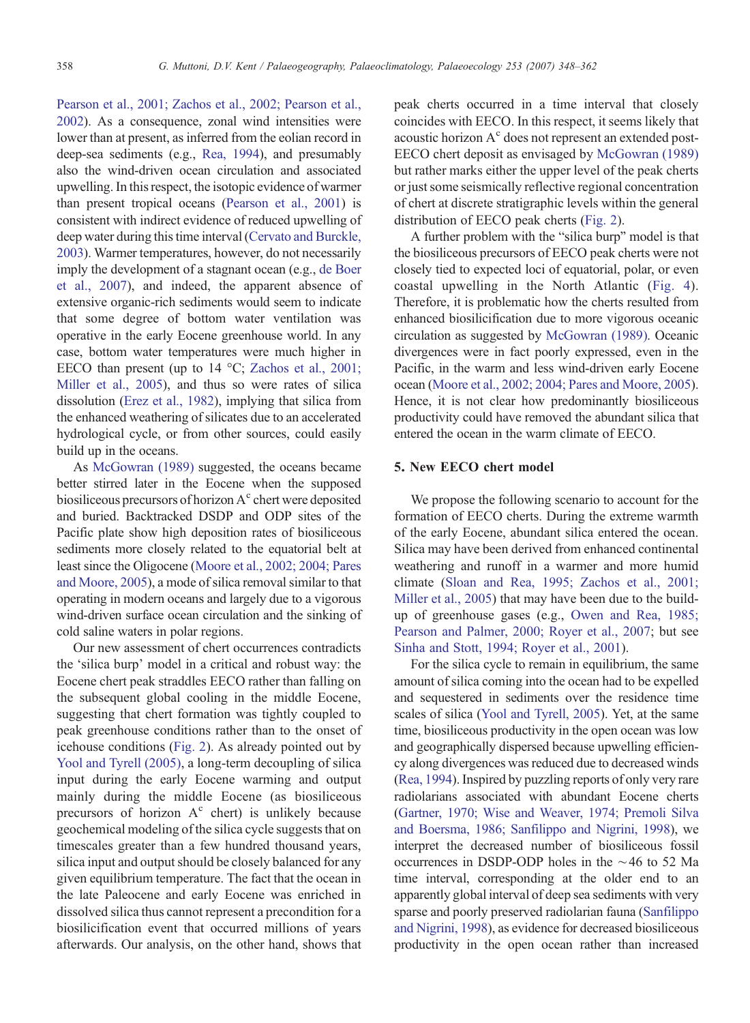[Pearson et al., 2001; Zachos et al., 2002; Pearson et al.,](#page-14-0) [2002\)](#page-14-0). As a consequence, zonal wind intensities were lower than at present, as inferred from the eolian record in deep-sea sediments (e.g., [Rea, 1994](#page-14-0)), and presumably also the wind-driven ocean circulation and associated upwelling. In this respect, the isotopic evidence of warmer than present tropical oceans [\(Pearson et al., 2001\)](#page-14-0) is consistent with indirect evidence of reduced upwelling of deep water during this time interval ([Cervato and Burckle,](#page-13-0) [2003\)](#page-13-0). Warmer temperatures, however, do not necessarily imply the development of a stagnant ocean (e.g., [de Boer](#page-13-0) [et al., 2007](#page-13-0)), and indeed, the apparent absence of extensive organic-rich sediments would seem to indicate that some degree of bottom water ventilation was operative in the early Eocene greenhouse world. In any case, bottom water temperatures were much higher in EECO than present (up to 14 °C; [Zachos et al., 2001;](#page-14-0) [Miller et al., 2005](#page-14-0)), and thus so were rates of silica dissolution [\(Erez et al., 1982](#page-13-0)), implying that silica from the enhanced weathering of silicates due to an accelerated hydrological cycle, or from other sources, could easily build up in the oceans.

As [McGowran \(1989\)](#page-13-0) suggested, the oceans became better stirred later in the Eocene when the supposed biosiliceous precursors of horizon  $A<sup>c</sup>$  chert were deposited and buried. Backtracked DSDP and ODP sites of the Pacific plate show high deposition rates of biosiliceous sediments more closely related to the equatorial belt at least since the Oligocene ([Moore et al., 2002; 2004; Pares](#page-13-0) [and Moore, 2005\)](#page-13-0), a mode of silica removal similar to that operating in modern oceans and largely due to a vigorous wind-driven surface ocean circulation and the sinking of cold saline waters in polar regions.

Our new assessment of chert occurrences contradicts the 'silica burp' model in a critical and robust way: the Eocene chert peak straddles EECO rather than falling on the subsequent global cooling in the middle Eocene, suggesting that chert formation was tightly coupled to peak greenhouse conditions rather than to the onset of icehouse conditions [\(Fig. 2\)](#page-7-0). As already pointed out by [Yool and Tyrell \(2005\)](#page-14-0), a long-term decoupling of silica input during the early Eocene warming and output mainly during the middle Eocene (as biosiliceous precursors of horizon  $A<sup>c</sup>$  chert) is unlikely because geochemical modeling of the silica cycle suggests that on timescales greater than a few hundred thousand years, silica input and output should be closely balanced for any given equilibrium temperature. The fact that the ocean in the late Paleocene and early Eocene was enriched in dissolved silica thus cannot represent a precondition for a biosilicification event that occurred millions of years afterwards. Our analysis, on the other hand, shows that

peak cherts occurred in a time interval that closely coincides with EECO. In this respect, it seems likely that acoustic horizon  $A<sup>c</sup>$  does not represent an extended post-EECO chert deposit as envisaged by [McGowran \(1989\)](#page-13-0) but rather marks either the upper level of the peak cherts or just some seismically reflective regional concentration of chert at discrete stratigraphic levels within the general distribution of EECO peak cherts ([Fig. 2](#page-7-0)).

A further problem with the "silica burp" model is that the biosiliceous precursors of EECO peak cherts were not closely tied to expected loci of equatorial, polar, or even coastal upwelling in the North Atlantic ([Fig. 4\)](#page-9-0). Therefore, it is problematic how the cherts resulted from enhanced biosilicification due to more vigorous oceanic circulation as suggested by [McGowran \(1989\).](#page-13-0) Oceanic divergences were in fact poorly expressed, even in the Pacific, in the warm and less wind-driven early Eocene ocean [\(Moore et al., 2002; 2004; Pares and Moore, 2005\)](#page-13-0). Hence, it is not clear how predominantly biosiliceous productivity could have removed the abundant silica that entered the ocean in the warm climate of EECO.

#### 5. New EECO chert model

We propose the following scenario to account for the formation of EECO cherts. During the extreme warmth of the early Eocene, abundant silica entered the ocean. Silica may have been derived from enhanced continental weathering and runoff in a warmer and more humid climate [\(Sloan and Rea, 1995; Zachos et al., 2001;](#page-14-0) [Miller et al., 2005](#page-14-0)) that may have been due to the buildup of greenhouse gases (e.g., [Owen and Rea, 1985;](#page-14-0) [Pearson and Palmer, 2000; Royer et al., 2007](#page-14-0); but see [Sinha and Stott, 1994; Royer et al., 2001](#page-14-0)).

For the silica cycle to remain in equilibrium, the same amount of silica coming into the ocean had to be expelled and sequestered in sediments over the residence time scales of silica [\(Yool and Tyrell, 2005\)](#page-14-0). Yet, at the same time, biosiliceous productivity in the open ocean was low and geographically dispersed because upwelling efficiency along divergences was reduced due to decreased winds [\(Rea, 1994](#page-14-0)). Inspired by puzzling reports of only very rare radiolarians associated with abundant Eocene cherts [\(Gartner, 1970; Wise and Weaver, 1974; Premoli Silva](#page-13-0) [and Boersma, 1986; Sanfilippo and Nigrini, 1998\)](#page-13-0), we interpret the decreased number of biosiliceous fossil occurrences in DSDP-ODP holes in the ∼46 to 52 Ma time interval, corresponding at the older end to an apparently global interval of deep sea sediments with very sparse and poorly preserved radiolarian fauna [\(Sanfilippo](#page-14-0) [and Nigrini, 1998](#page-14-0)), as evidence for decreased biosiliceous productivity in the open ocean rather than increased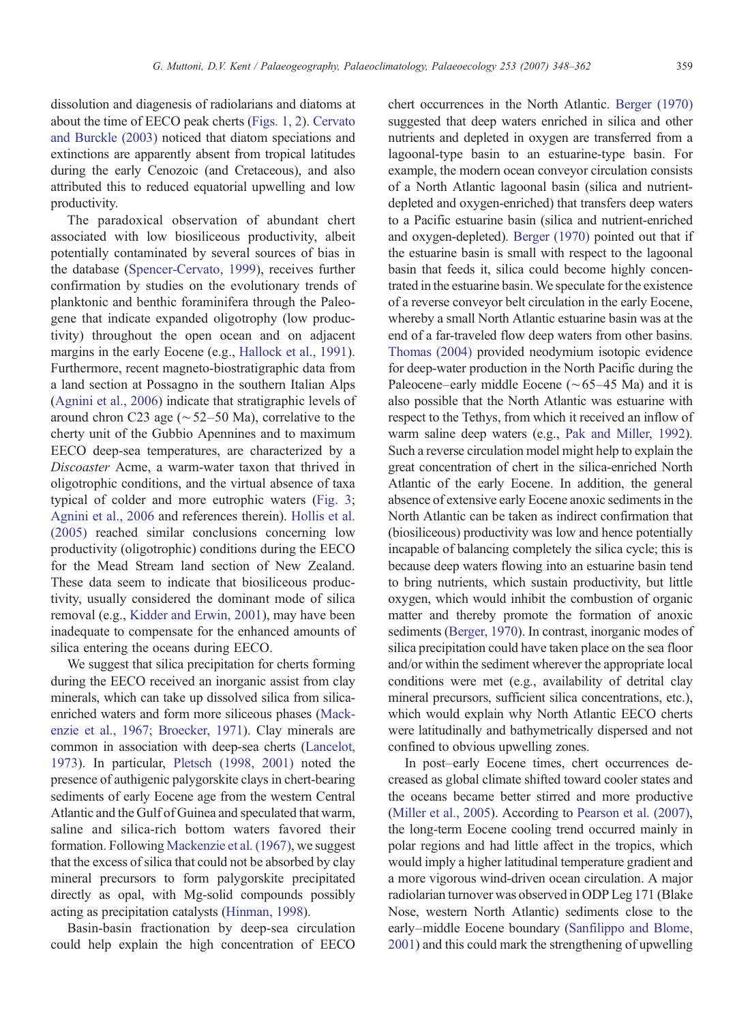dissolution and diagenesis of radiolarians and diatoms at about the time of EECO peak cherts ([Figs. 1, 2](#page-6-0)). [Cervato](#page-13-0) [and Burckle \(2003\)](#page-13-0) noticed that diatom speciations and extinctions are apparently absent from tropical latitudes during the early Cenozoic (and Cretaceous), and also attributed this to reduced equatorial upwelling and low productivity.

The paradoxical observation of abundant chert associated with low biosiliceous productivity, albeit potentially contaminated by several sources of bias in the database ([Spencer-Cervato, 1999\)](#page-14-0), receives further confirmation by studies on the evolutionary trends of planktonic and benthic foraminifera through the Paleogene that indicate expanded oligotrophy (low productivity) throughout the open ocean and on adjacent margins in the early Eocene (e.g., [Hallock et al., 1991](#page-13-0)). Furthermore, recent magneto-biostratigraphic data from a land section at Possagno in the southern Italian Alps [\(Agnini et al., 2006\)](#page-12-0) indicate that stratigraphic levels of around chron C23 age (∼52–50 Ma), correlative to the cherty unit of the Gubbio Apennines and to maximum EECO deep-sea temperatures, are characterized by a Discoaster Acme, a warm-water taxon that thrived in oligotrophic conditions, and the virtual absence of taxa typical of colder and more eutrophic waters ([Fig. 3](#page-8-0); [Agnini et al., 2006](#page-12-0) and references therein). [Hollis et al.](#page-13-0) [\(2005\)](#page-13-0) reached similar conclusions concerning low productivity (oligotrophic) conditions during the EECO for the Mead Stream land section of New Zealand. These data seem to indicate that biosiliceous productivity, usually considered the dominant mode of silica removal (e.g., [Kidder and Erwin, 2001](#page-13-0)), may have been inadequate to compensate for the enhanced amounts of silica entering the oceans during EECO.

We suggest that silica precipitation for cherts forming during the EECO received an inorganic assist from clay minerals, which can take up dissolved silica from silicaenriched waters and form more siliceous phases ([Mack](#page-13-0)[enzie et al., 1967; Broecker, 1971](#page-13-0)). Clay minerals are common in association with deep-sea cherts ([Lancelot,](#page-13-0) [1973](#page-13-0)). In particular, [Pletsch \(1998, 2001\)](#page-14-0) noted the presence of authigenic palygorskite clays in chert-bearing sediments of early Eocene age from the western Central Atlantic and the Gulf of Guinea and speculated that warm, saline and silica-rich bottom waters favored their formation. Following [Mackenzie et al. \(1967\)](#page-13-0), we suggest that the excess of silica that could not be absorbed by clay mineral precursors to form palygorskite precipitated directly as opal, with Mg-solid compounds possibly acting as precipitation catalysts [\(Hinman, 1998](#page-13-0)).

Basin-basin fractionation by deep-sea circulation could help explain the high concentration of EECO

chert occurrences in the North Atlantic. [Berger \(1970\)](#page-13-0) suggested that deep waters enriched in silica and other nutrients and depleted in oxygen are transferred from a lagoonal-type basin to an estuarine-type basin. For example, the modern ocean conveyor circulation consists of a North Atlantic lagoonal basin (silica and nutrientdepleted and oxygen-enriched) that transfers deep waters to a Pacific estuarine basin (silica and nutrient-enriched and oxygen-depleted). [Berger \(1970\)](#page-13-0) pointed out that if the estuarine basin is small with respect to the lagoonal basin that feeds it, silica could become highly concentrated in the estuarine basin.We speculate for the existence of a reverse conveyor belt circulation in the early Eocene, whereby a small North Atlantic estuarine basin was at the end of a far-traveled flow deep waters from other basins. [Thomas \(2004\)](#page-14-0) provided neodymium isotopic evidence for deep-water production in the North Pacific during the Paleocene–early middle Eocene (∼65–45 Ma) and it is also possible that the North Atlantic was estuarine with respect to the Tethys, from which it received an inflow of warm saline deep waters (e.g., [Pak and Miller, 1992](#page-14-0)). Such a reverse circulation model might help to explain the great concentration of chert in the silica-enriched North Atlantic of the early Eocene. In addition, the general absence of extensive early Eocene anoxic sediments in the North Atlantic can be taken as indirect confirmation that (biosiliceous) productivity was low and hence potentially incapable of balancing completely the silica cycle; this is because deep waters flowing into an estuarine basin tend to bring nutrients, which sustain productivity, but little oxygen, which would inhibit the combustion of organic matter and thereby promote the formation of anoxic sediments ([Berger, 1970\)](#page-13-0). In contrast, inorganic modes of silica precipitation could have taken place on the sea floor and/or within the sediment wherever the appropriate local conditions were met (e.g., availability of detrital clay mineral precursors, sufficient silica concentrations, etc.), which would explain why North Atlantic EECO cherts were latitudinally and bathymetrically dispersed and not confined to obvious upwelling zones.

In post–early Eocene times, chert occurrences decreased as global climate shifted toward cooler states and the oceans became better stirred and more productive [\(Miller et al., 2005](#page-13-0)). According to [Pearson et al. \(2007\),](#page-14-0) the long-term Eocene cooling trend occurred mainly in polar regions and had little affect in the tropics, which would imply a higher latitudinal temperature gradient and a more vigorous wind-driven ocean circulation. A major radiolarian turnover was observed in ODP Leg 171 (Blake Nose, western North Atlantic) sediments close to the early–middle Eocene boundary [\(Sanfilippo and Blome,](#page-14-0) [2001\)](#page-14-0) and this could mark the strengthening of upwelling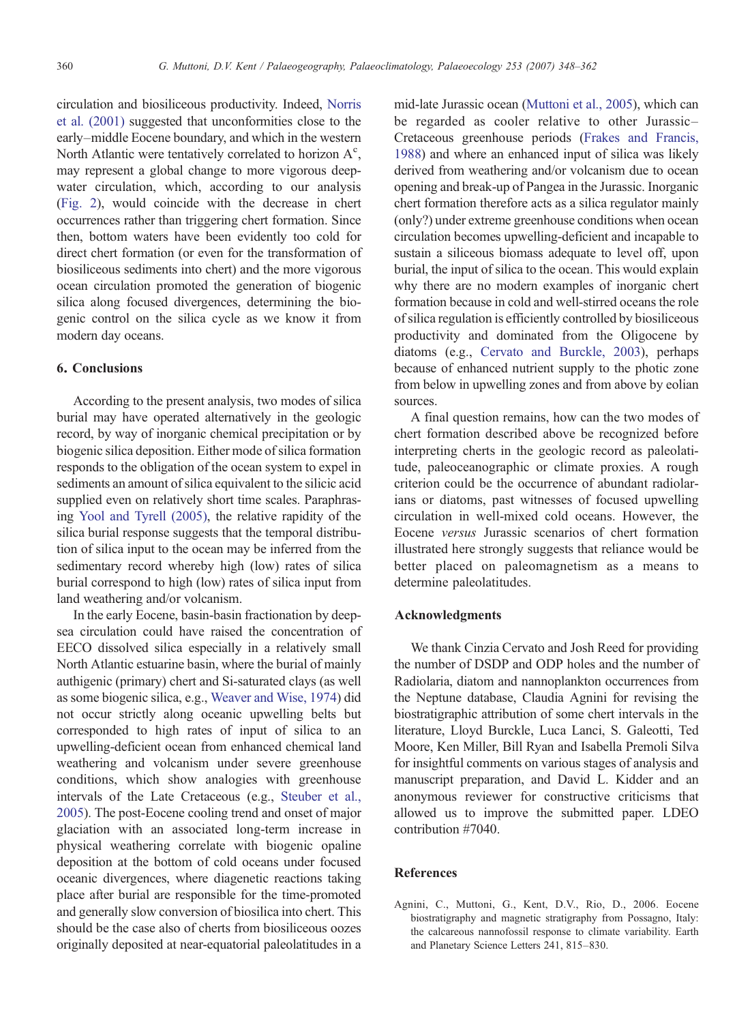<span id="page-12-0"></span>circulation and biosiliceous productivity. Indeed, [Norris](#page-13-0) [et al. \(2001\)](#page-13-0) suggested that unconformities close to the early–middle Eocene boundary, and which in the western North Atlantic were tentatively correlated to horizon  $A<sup>c</sup>$ , may represent a global change to more vigorous deepwater circulation, which, according to our analysis [\(Fig. 2](#page-7-0)), would coincide with the decrease in chert occurrences rather than triggering chert formation. Since then, bottom waters have been evidently too cold for direct chert formation (or even for the transformation of biosiliceous sediments into chert) and the more vigorous ocean circulation promoted the generation of biogenic silica along focused divergences, determining the biogenic control on the silica cycle as we know it from modern day oceans.

#### 6. Conclusions

According to the present analysis, two modes of silica burial may have operated alternatively in the geologic record, by way of inorganic chemical precipitation or by biogenic silica deposition. Either mode of silica formation responds to the obligation of the ocean system to expel in sediments an amount of silica equivalent to the silicic acid supplied even on relatively short time scales. Paraphrasing [Yool and Tyrell \(2005\)](#page-14-0), the relative rapidity of the silica burial response suggests that the temporal distribution of silica input to the ocean may be inferred from the sedimentary record whereby high (low) rates of silica burial correspond to high (low) rates of silica input from land weathering and/or volcanism.

In the early Eocene, basin-basin fractionation by deepsea circulation could have raised the concentration of EECO dissolved silica especially in a relatively small North Atlantic estuarine basin, where the burial of mainly authigenic (primary) chert and Si-saturated clays (as well as some biogenic silica, e.g., [Weaver and Wise, 1974\)](#page-14-0) did not occur strictly along oceanic upwelling belts but corresponded to high rates of input of silica to an upwelling-deficient ocean from enhanced chemical land weathering and volcanism under severe greenhouse conditions, which show analogies with greenhouse intervals of the Late Cretaceous (e.g., [Steuber et al.,](#page-14-0) [2005\)](#page-14-0). The post-Eocene cooling trend and onset of major glaciation with an associated long-term increase in physical weathering correlate with biogenic opaline deposition at the bottom of cold oceans under focused oceanic divergences, where diagenetic reactions taking place after burial are responsible for the time-promoted and generally slow conversion of biosilica into chert. This should be the case also of cherts from biosiliceous oozes originally deposited at near-equatorial paleolatitudes in a mid-late Jurassic ocean [\(Muttoni et al., 2005](#page-13-0)), which can be regarded as cooler relative to other Jurassic– Cretaceous greenhouse periods [\(Frakes and Francis,](#page-13-0) [1988\)](#page-13-0) and where an enhanced input of silica was likely derived from weathering and/or volcanism due to ocean opening and break-up of Pangea in the Jurassic. Inorganic chert formation therefore acts as a silica regulator mainly (only?) under extreme greenhouse conditions when ocean circulation becomes upwelling-deficient and incapable to sustain a siliceous biomass adequate to level off, upon burial, the input of silica to the ocean. This would explain why there are no modern examples of inorganic chert formation because in cold and well-stirred oceans the role of silica regulation is efficiently controlled by biosiliceous productivity and dominated from the Oligocene by diatoms (e.g., [Cervato and Burckle, 2003](#page-13-0)), perhaps because of enhanced nutrient supply to the photic zone from below in upwelling zones and from above by eolian sources.

A final question remains, how can the two modes of chert formation described above be recognized before interpreting cherts in the geologic record as paleolatitude, paleoceanographic or climate proxies. A rough criterion could be the occurrence of abundant radiolarians or diatoms, past witnesses of focused upwelling circulation in well-mixed cold oceans. However, the Eocene versus Jurassic scenarios of chert formation illustrated here strongly suggests that reliance would be better placed on paleomagnetism as a means to determine paleolatitudes.

## Acknowledgments

We thank Cinzia Cervato and Josh Reed for providing the number of DSDP and ODP holes and the number of Radiolaria, diatom and nannoplankton occurrences from the Neptune database, Claudia Agnini for revising the biostratigraphic attribution of some chert intervals in the literature, Lloyd Burckle, Luca Lanci, S. Galeotti, Ted Moore, Ken Miller, Bill Ryan and Isabella Premoli Silva for insightful comments on various stages of analysis and manuscript preparation, and David L. Kidder and an anonymous reviewer for constructive criticisms that allowed us to improve the submitted paper. LDEO contribution #7040.

## References

Agnini, C., Muttoni, G., Kent, D.V., Rio, D., 2006. Eocene biostratigraphy and magnetic stratigraphy from Possagno, Italy: the calcareous nannofossil response to climate variability. Earth and Planetary Science Letters 241, 815–830.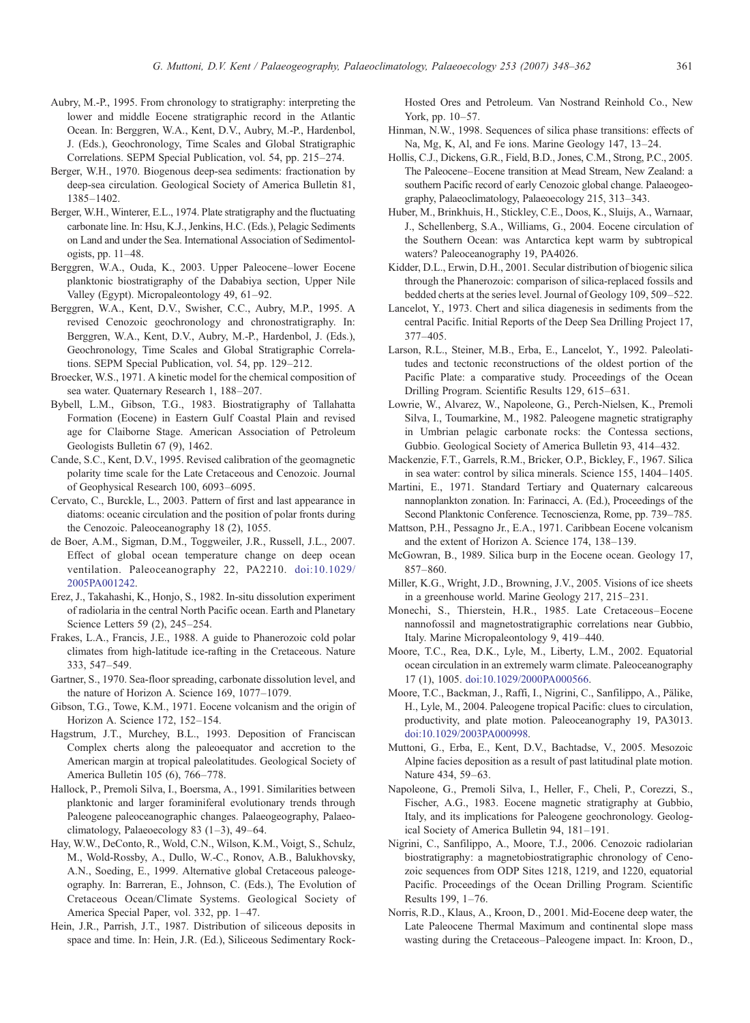- <span id="page-13-0"></span>Aubry, M.-P., 1995. From chronology to stratigraphy: interpreting the lower and middle Eocene stratigraphic record in the Atlantic Ocean. In: Berggren, W.A., Kent, D.V., Aubry, M.-P., Hardenbol, J. (Eds.), Geochronology, Time Scales and Global Stratigraphic Correlations. SEPM Special Publication, vol. 54, pp. 215–274.
- Berger, W.H., 1970. Biogenous deep-sea sediments: fractionation by deep-sea circulation. Geological Society of America Bulletin 81, 1385–1402.
- Berger, W.H., Winterer, E.L., 1974. Plate stratigraphy and the fluctuating carbonate line. In: Hsu, K.J., Jenkins, H.C. (Eds.), Pelagic Sediments on Land and under the Sea. International Association of Sedimentologists, pp. 11–48.
- Berggren, W.A., Ouda, K., 2003. Upper Paleocene–lower Eocene planktonic biostratigraphy of the Dababiya section, Upper Nile Valley (Egypt). Micropaleontology 49, 61–92.
- Berggren, W.A., Kent, D.V., Swisher, C.C., Aubry, M.P., 1995. A revised Cenozoic geochronology and chronostratigraphy. In: Berggren, W.A., Kent, D.V., Aubry, M.-P., Hardenbol, J. (Eds.), Geochronology, Time Scales and Global Stratigraphic Correlations. SEPM Special Publication, vol. 54, pp. 129–212.
- Broecker, W.S., 1971. A kinetic model for the chemical composition of sea water. Quaternary Research 1, 188–207.
- Bybell, L.M., Gibson, T.G., 1983. Biostratigraphy of Tallahatta Formation (Eocene) in Eastern Gulf Coastal Plain and revised age for Claiborne Stage. American Association of Petroleum Geologists Bulletin 67 (9), 1462.
- Cande, S.C., Kent, D.V., 1995. Revised calibration of the geomagnetic polarity time scale for the Late Cretaceous and Cenozoic. Journal of Geophysical Research 100, 6093–6095.
- Cervato, C., Burckle, L., 2003. Pattern of first and last appearance in diatoms: oceanic circulation and the position of polar fronts during the Cenozoic. Paleoceanography 18 (2), 1055.
- de Boer, A.M., Sigman, D.M., Toggweiler, J.R., Russell, J.L., 2007. Effect of global ocean temperature change on deep ocean ventilation. Paleoceanography 22, PA2210. doi:[10.1029/](http://dx.doi.org/10.1029/2005PA001242) [2005PA001242.](http://dx.doi.org/10.1029/2005PA001242)
- Erez, J., Takahashi, K., Honjo, S., 1982. In-situ dissolution experiment of radiolaria in the central North Pacific ocean. Earth and Planetary Science Letters 59 (2), 245–254.
- Frakes, L.A., Francis, J.E., 1988. A guide to Phanerozoic cold polar climates from high-latitude ice-rafting in the Cretaceous. Nature 333, 547–549.
- Gartner, S., 1970. Sea-floor spreading, carbonate dissolution level, and the nature of Horizon A. Science 169, 1077–1079.
- Gibson, T.G., Towe, K.M., 1971. Eocene volcanism and the origin of Horizon A. Science 172, 152–154.
- Hagstrum, J.T., Murchey, B.L., 1993. Deposition of Franciscan Complex cherts along the paleoequator and accretion to the American margin at tropical paleolatitudes. Geological Society of America Bulletin 105 (6), 766–778.
- Hallock, P., Premoli Silva, I., Boersma, A., 1991. Similarities between planktonic and larger foraminiferal evolutionary trends through Paleogene paleoceanographic changes. Palaeogeography, Palaeoclimatology, Palaeoecology 83  $(1-3)$ , 49-64.
- Hay, W.W., DeConto, R., Wold, C.N., Wilson, K.M., Voigt, S., Schulz, M., Wold-Rossby, A., Dullo, W.-C., Ronov, A.B., Balukhovsky, A.N., Soeding, E., 1999. Alternative global Cretaceous paleogeography. In: Barreran, E., Johnson, C. (Eds.), The Evolution of Cretaceous Ocean/Climate Systems. Geological Society of America Special Paper, vol. 332, pp. 1–47.
- Hein, J.R., Parrish, J.T., 1987. Distribution of siliceous deposits in space and time. In: Hein, J.R. (Ed.), Siliceous Sedimentary Rock-

Hosted Ores and Petroleum. Van Nostrand Reinhold Co., New York, pp. 10–57.

- Hinman, N.W., 1998. Sequences of silica phase transitions: effects of Na, Mg, K, Al, and Fe ions. Marine Geology 147, 13–24.
- Hollis, C.J., Dickens, G.R., Field, B.D., Jones, C.M., Strong, P.C., 2005. The Paleocene–Eocene transition at Mead Stream, New Zealand: a southern Pacific record of early Cenozoic global change. Palaeogeography, Palaeoclimatology, Palaeoecology 215, 313–343.
- Huber, M., Brinkhuis, H., Stickley, C.E., Doos, K., Sluijs, A., Warnaar, J., Schellenberg, S.A., Williams, G., 2004. Eocene circulation of the Southern Ocean: was Antarctica kept warm by subtropical waters? Paleoceanography 19, PA4026.
- Kidder, D.L., Erwin, D.H., 2001. Secular distribution of biogenic silica through the Phanerozoic: comparison of silica-replaced fossils and bedded cherts at the series level. Journal of Geology 109, 509–522.
- Lancelot, Y., 1973. Chert and silica diagenesis in sediments from the central Pacific. Initial Reports of the Deep Sea Drilling Project 17, 377–405.
- Larson, R.L., Steiner, M.B., Erba, E., Lancelot, Y., 1992. Paleolatitudes and tectonic reconstructions of the oldest portion of the Pacific Plate: a comparative study. Proceedings of the Ocean Drilling Program. Scientific Results 129, 615–631.
- Lowrie, W., Alvarez, W., Napoleone, G., Perch-Nielsen, K., Premoli Silva, I., Toumarkine, M., 1982. Paleogene magnetic stratigraphy in Umbrian pelagic carbonate rocks: the Contessa sections, Gubbio. Geological Society of America Bulletin 93, 414–432.
- Mackenzie, F.T., Garrels, R.M., Bricker, O.P., Bickley, F., 1967. Silica in sea water: control by silica minerals. Science 155, 1404–1405.
- Martini, E., 1971. Standard Tertiary and Quaternary calcareous nannoplankton zonation. In: Farinacci, A. (Ed.), Proceedings of the Second Planktonic Conference. Tecnoscienza, Rome, pp. 739–785.
- Mattson, P.H., Pessagno Jr., E.A., 1971. Caribbean Eocene volcanism and the extent of Horizon A. Science 174, 138–139.
- McGowran, B., 1989. Silica burp in the Eocene ocean. Geology 17, 857–860.
- Miller, K.G., Wright, J.D., Browning, J.V., 2005. Visions of ice sheets in a greenhouse world. Marine Geology 217, 215–231.
- Monechi, S., Thierstein, H.R., 1985. Late Cretaceous–Eocene nannofossil and magnetostratigraphic correlations near Gubbio, Italy. Marine Micropaleontology 9, 419–440.
- Moore, T.C., Rea, D.K., Lyle, M., Liberty, L.M., 2002. Equatorial ocean circulation in an extremely warm climate. Paleoceanography 17 (1), 1005. doi[:10.1029/2000PA000566.](mailto:giovanni.muttoni1@unimi.it)
- Moore, T.C., Backman, J., Raffi, I., Nigrini, C., Sanfilippo, A., Pälike, H., Lyle, M., 2004. Paleogene tropical Pacific: clues to circulation, productivity, and plate motion. Paleoceanography 19, PA3013. doi[:10.1029/2003PA000998.](http://dx.doi.org/10.1029/2003PA000998)
- Muttoni, G., Erba, E., Kent, D.V., Bachtadse, V., 2005. Mesozoic Alpine facies deposition as a result of past latitudinal plate motion. Nature 434, 59–63.
- Napoleone, G., Premoli Silva, I., Heller, F., Cheli, P., Corezzi, S., Fischer, A.G., 1983. Eocene magnetic stratigraphy at Gubbio, Italy, and its implications for Paleogene geochronology. Geological Society of America Bulletin 94, 181–191.
- Nigrini, C., Sanfilippo, A., Moore, T.J., 2006. Cenozoic radiolarian biostratigraphy: a magnetobiostratigraphic chronology of Cenozoic sequences from ODP Sites 1218, 1219, and 1220, equatorial Pacific. Proceedings of the Ocean Drilling Program. Scientific Results 199, 1–76.
- Norris, R.D., Klaus, A., Kroon, D., 2001. Mid-Eocene deep water, the Late Paleocene Thermal Maximum and continental slope mass wasting during the Cretaceous–Paleogene impact. In: Kroon, D.,